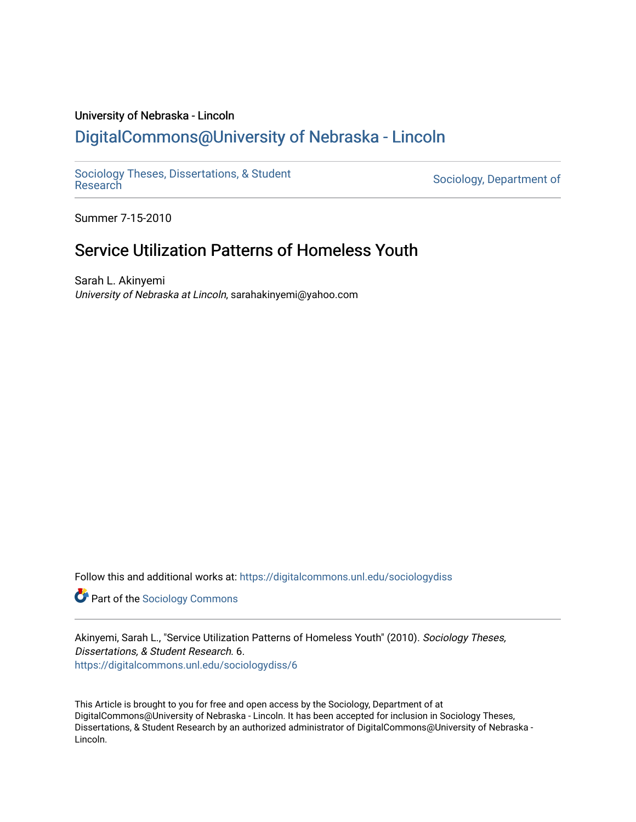# University of Nebraska - Lincoln [DigitalCommons@University of Nebraska - Lincoln](https://digitalcommons.unl.edu/)

[Sociology Theses, Dissertations, & Student](https://digitalcommons.unl.edu/sociologydiss)

Sociology, Department of

Summer 7-15-2010

# Service Utilization Patterns of Homeless Youth

Sarah L. Akinyemi University of Nebraska at Lincoln, sarahakinyemi@yahoo.com

Follow this and additional works at: [https://digitalcommons.unl.edu/sociologydiss](https://digitalcommons.unl.edu/sociologydiss?utm_source=digitalcommons.unl.edu%2Fsociologydiss%2F6&utm_medium=PDF&utm_campaign=PDFCoverPages) 

**Part of the [Sociology Commons](http://network.bepress.com/hgg/discipline/416?utm_source=digitalcommons.unl.edu%2Fsociologydiss%2F6&utm_medium=PDF&utm_campaign=PDFCoverPages)** 

Akinyemi, Sarah L., "Service Utilization Patterns of Homeless Youth" (2010). Sociology Theses, Dissertations, & Student Research. 6. [https://digitalcommons.unl.edu/sociologydiss/6](https://digitalcommons.unl.edu/sociologydiss/6?utm_source=digitalcommons.unl.edu%2Fsociologydiss%2F6&utm_medium=PDF&utm_campaign=PDFCoverPages)

This Article is brought to you for free and open access by the Sociology, Department of at DigitalCommons@University of Nebraska - Lincoln. It has been accepted for inclusion in Sociology Theses, Dissertations, & Student Research by an authorized administrator of DigitalCommons@University of Nebraska -Lincoln.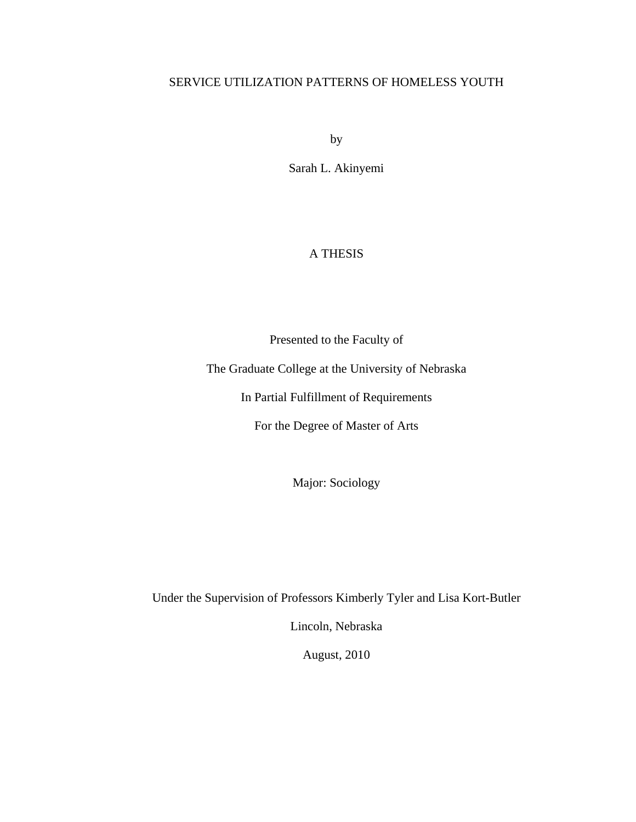# SERVICE UTILIZATION PATTERNS OF HOMELESS YOUTH

by

Sarah L. Akinyemi

# A THESIS

Presented to the Faculty of

The Graduate College at the University of Nebraska

In Partial Fulfillment of Requirements

For the Degree of Master of Arts

Major: Sociology

Under the Supervision of Professors Kimberly Tyler and Lisa Kort-Butler

Lincoln, Nebraska

August, 2010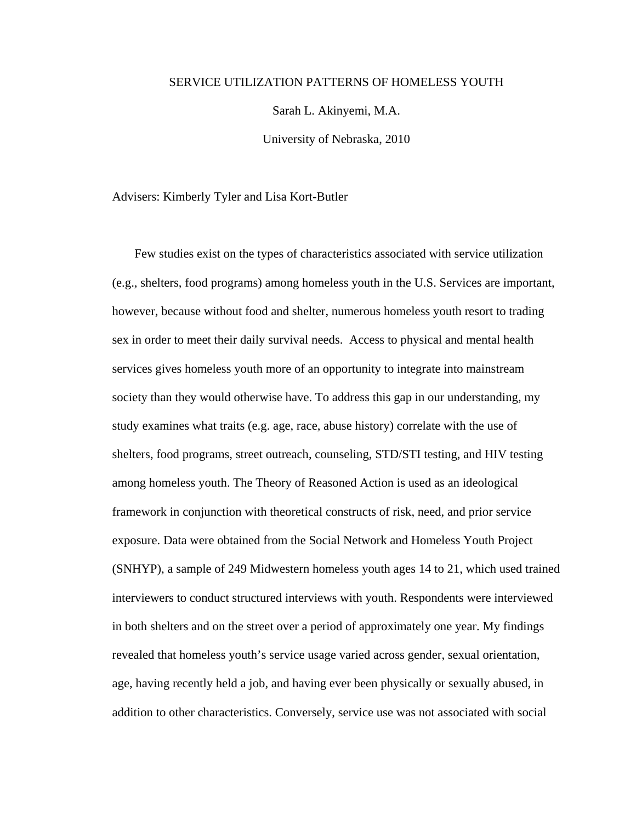#### SERVICE UTILIZATION PATTERNS OF HOMELESS YOUTH

Sarah L. Akinyemi, M.A.

University of Nebraska, 2010

#### Advisers: Kimberly Tyler and Lisa Kort-Butler

Few studies exist on the types of characteristics associated with service utilization (e.g., shelters, food programs) among homeless youth in the U.S. Services are important, however, because without food and shelter, numerous homeless youth resort to trading sex in order to meet their daily survival needs. Access to physical and mental health services gives homeless youth more of an opportunity to integrate into mainstream society than they would otherwise have. To address this gap in our understanding, my study examines what traits (e.g. age, race, abuse history) correlate with the use of shelters, food programs, street outreach, counseling, STD/STI testing, and HIV testing among homeless youth. The Theory of Reasoned Action is used as an ideological framework in conjunction with theoretical constructs of risk, need, and prior service exposure. Data were obtained from the Social Network and Homeless Youth Project (SNHYP), a sample of 249 Midwestern homeless youth ages 14 to 21, which used trained interviewers to conduct structured interviews with youth. Respondents were interviewed in both shelters and on the street over a period of approximately one year. My findings revealed that homeless youth's service usage varied across gender, sexual orientation, age, having recently held a job, and having ever been physically or sexually abused, in addition to other characteristics. Conversely, service use was not associated with social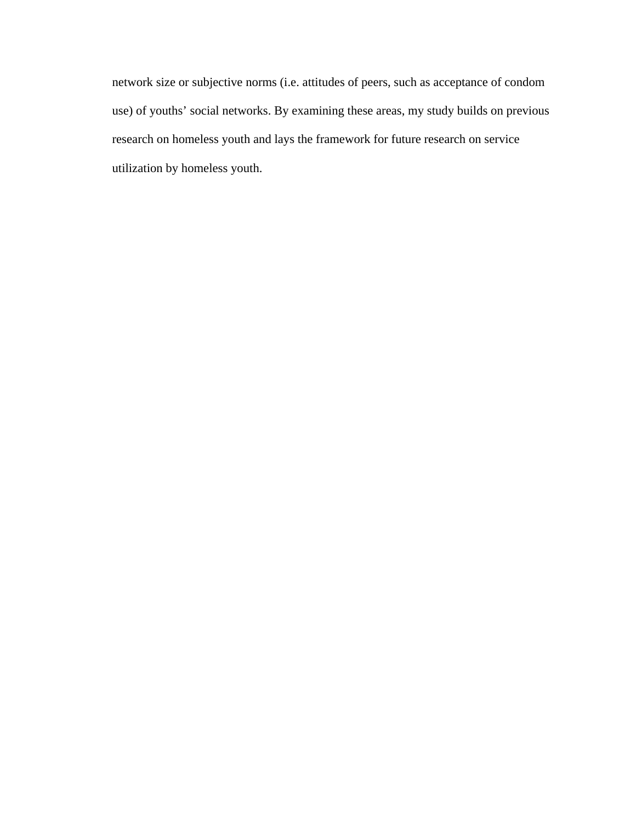network size or subjective norms (i.e. attitudes of peers, such as acceptance of condom use) of youths' social networks. By examining these areas, my study builds on previous research on homeless youth and lays the framework for future research on service utilization by homeless youth.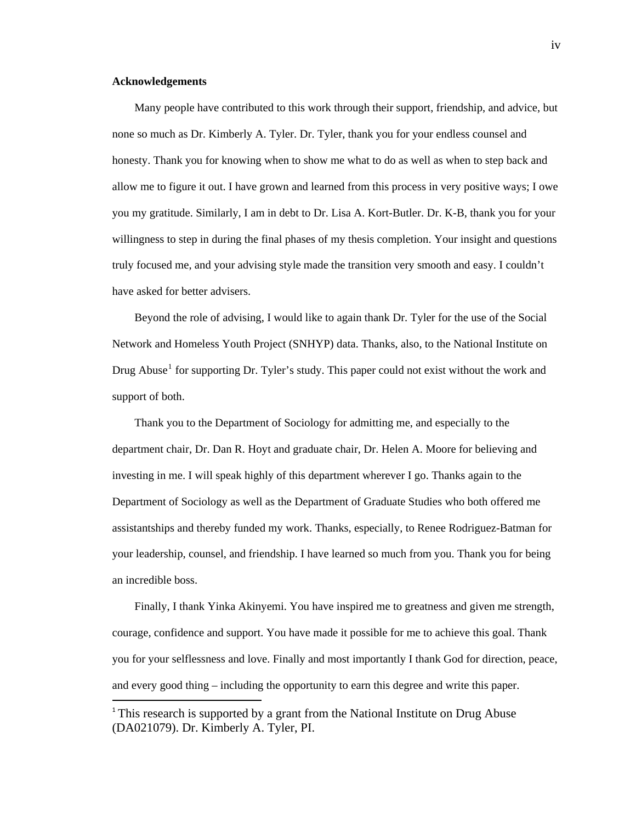#### **Acknowledgements**

Many people have contributed to this work through their support, friendship, and advice, but none so much as Dr. Kimberly A. Tyler. Dr. Tyler, thank you for your endless counsel and honesty. Thank you for knowing when to show me what to do as well as when to step back and allow me to figure it out. I have grown and learned from this process in very positive ways; I owe you my gratitude. Similarly, I am in debt to Dr. Lisa A. Kort-Butler. Dr. K-B, thank you for your willingness to step in during the final phases of my thesis completion. Your insight and questions truly focused me, and your advising style made the transition very smooth and easy. I couldn't have asked for better advisers.

Beyond the role of advising, I would like to again thank Dr. Tyler for the use of the Social Network and Homeless Youth Project (SNHYP) data. Thanks, also, to the National Institute on Drug Abuse<sup>[1](#page-4-0)</sup> for supporting Dr. Tyler's study. This paper could not exist without the work and support of both.

Thank you to the Department of Sociology for admitting me, and especially to the department chair, Dr. Dan R. Hoyt and graduate chair, Dr. Helen A. Moore for believing and investing in me. I will speak highly of this department wherever I go. Thanks again to the Department of Sociology as well as the Department of Graduate Studies who both offered me assistantships and thereby funded my work. Thanks, especially, to Renee Rodriguez-Batman for your leadership, counsel, and friendship. I have learned so much from you. Thank you for being an incredible boss.

Finally, I thank Yinka Akinyemi. You have inspired me to greatness and given me strength, courage, confidence and support. You have made it possible for me to achieve this goal. Thank you for your selflessness and love. Finally and most importantly I thank God for direction, peace, and every good thing – including the opportunity to earn this degree and write this paper.

<span id="page-4-0"></span><sup>&</sup>lt;sup>1</sup> This research is supported by a grant from the National Institute on Drug Abuse (DA021079). Dr. Kimberly A. Tyler, PI.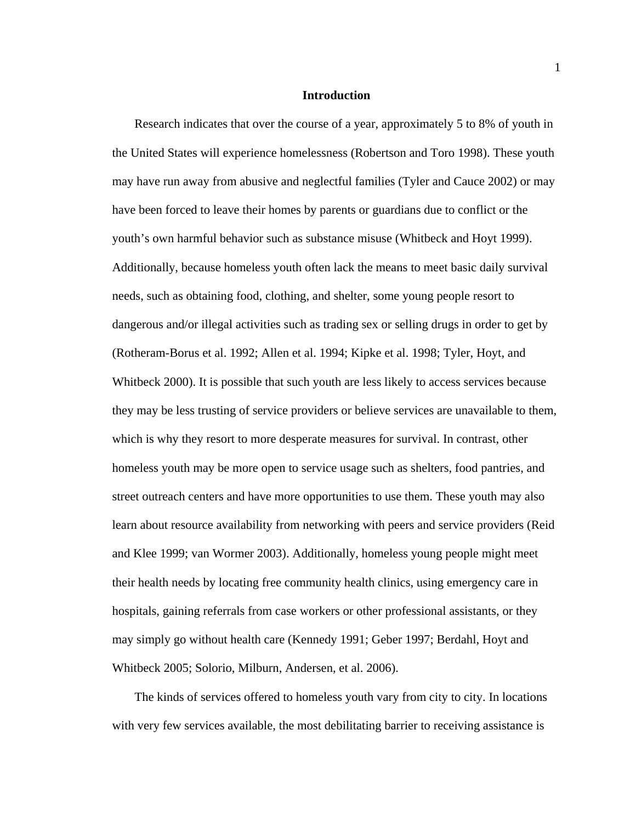#### **Introduction**

Research indicates that over the course of a year, approximately 5 to 8% of youth in the United States will experience homelessness (Robertson and Toro 1998). These youth may have run away from abusive and neglectful families (Tyler and Cauce 2002) or may have been forced to leave their homes by parents or guardians due to conflict or the youth's own harmful behavior such as substance misuse (Whitbeck and Hoyt 1999). Additionally, because homeless youth often lack the means to meet basic daily survival needs, such as obtaining food, clothing, and shelter, some young people resort to dangerous and/or illegal activities such as trading sex or selling drugs in order to get by (Rotheram-Borus et al. 1992; Allen et al. 1994; Kipke et al. 1998; Tyler, Hoyt, and Whitbeck 2000). It is possible that such youth are less likely to access services because they may be less trusting of service providers or believe services are unavailable to them, which is why they resort to more desperate measures for survival. In contrast, other homeless youth may be more open to service usage such as shelters, food pantries, and street outreach centers and have more opportunities to use them. These youth may also learn about resource availability from networking with peers and service providers (Reid and Klee 1999; van Wormer 2003). Additionally, homeless young people might meet their health needs by locating free community health clinics, using emergency care in hospitals, gaining referrals from case workers or other professional assistants, or they may simply go without health care (Kennedy 1991; Geber 1997; Berdahl, Hoyt and Whitbeck 2005; Solorio, Milburn, Andersen, et al. 2006).

The kinds of services offered to homeless youth vary from city to city. In locations with very few services available, the most debilitating barrier to receiving assistance is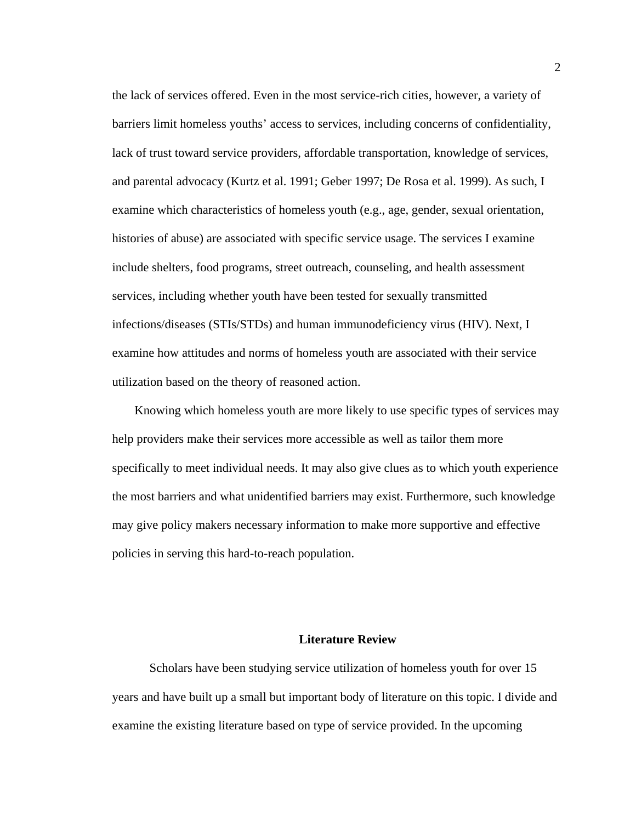the lack of services offered. Even in the most service-rich cities, however, a variety of barriers limit homeless youths' access to services, including concerns of confidentiality, lack of trust toward service providers, affordable transportation, knowledge of services, and parental advocacy (Kurtz et al. 1991; Geber 1997; De Rosa et al. 1999). As such, I examine which characteristics of homeless youth (e.g., age, gender, sexual orientation, histories of abuse) are associated with specific service usage. The services I examine include shelters, food programs, street outreach, counseling, and health assessment services, including whether youth have been tested for sexually transmitted infections/diseases (STIs/STDs) and human immunodeficiency virus (HIV). Next, I examine how attitudes and norms of homeless youth are associated with their service utilization based on the theory of reasoned action.

Knowing which homeless youth are more likely to use specific types of services may help providers make their services more accessible as well as tailor them more specifically to meet individual needs. It may also give clues as to which youth experience the most barriers and what unidentified barriers may exist. Furthermore, such knowledge may give policy makers necessary information to make more supportive and effective policies in serving this hard-to-reach population.

## **Literature Review**

Scholars have been studying service utilization of homeless youth for over 15 years and have built up a small but important body of literature on this topic. I divide and examine the existing literature based on type of service provided. In the upcoming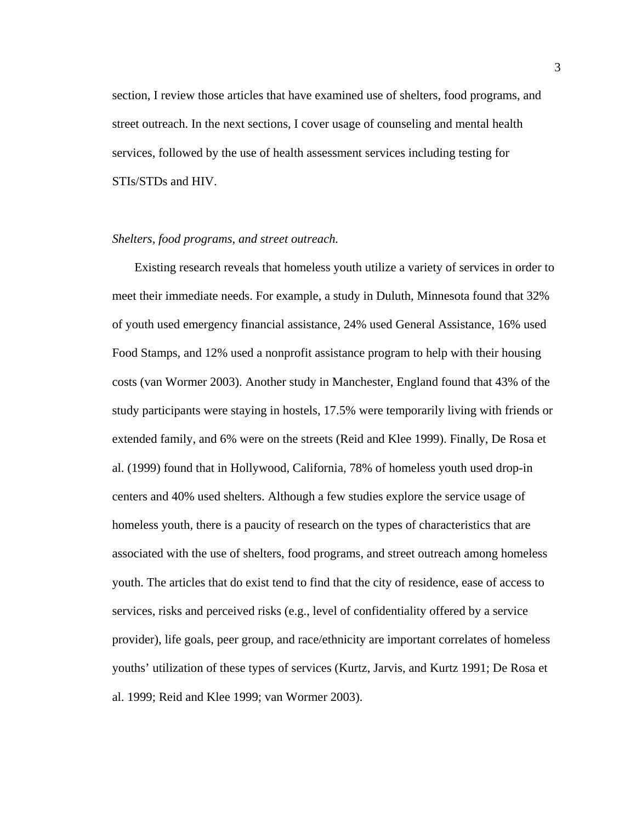section, I review those articles that have examined use of shelters, food programs, and street outreach. In the next sections, I cover usage of counseling and mental health services, followed by the use of health assessment services including testing for STIs/STDs and HIV.

#### *Shelters, food programs, and street outreach.*

Existing research reveals that homeless youth utilize a variety of services in order to meet their immediate needs. For example, a study in Duluth, Minnesota found that 32% of youth used emergency financial assistance, 24% used General Assistance, 16% used Food Stamps, and 12% used a nonprofit assistance program to help with their housing costs (van Wormer 2003). Another study in Manchester, England found that 43% of the study participants were staying in hostels, 17.5% were temporarily living with friends or extended family, and 6% were on the streets (Reid and Klee 1999). Finally, De Rosa et al. (1999) found that in Hollywood, California, 78% of homeless youth used drop-in centers and 40% used shelters. Although a few studies explore the service usage of homeless youth, there is a paucity of research on the types of characteristics that are associated with the use of shelters, food programs, and street outreach among homeless youth. The articles that do exist tend to find that the city of residence, ease of access to services, risks and perceived risks (e.g., level of confidentiality offered by a service provider), life goals, peer group, and race/ethnicity are important correlates of homeless youths' utilization of these types of services (Kurtz, Jarvis, and Kurtz 1991; De Rosa et al. 1999; Reid and Klee 1999; van Wormer 2003).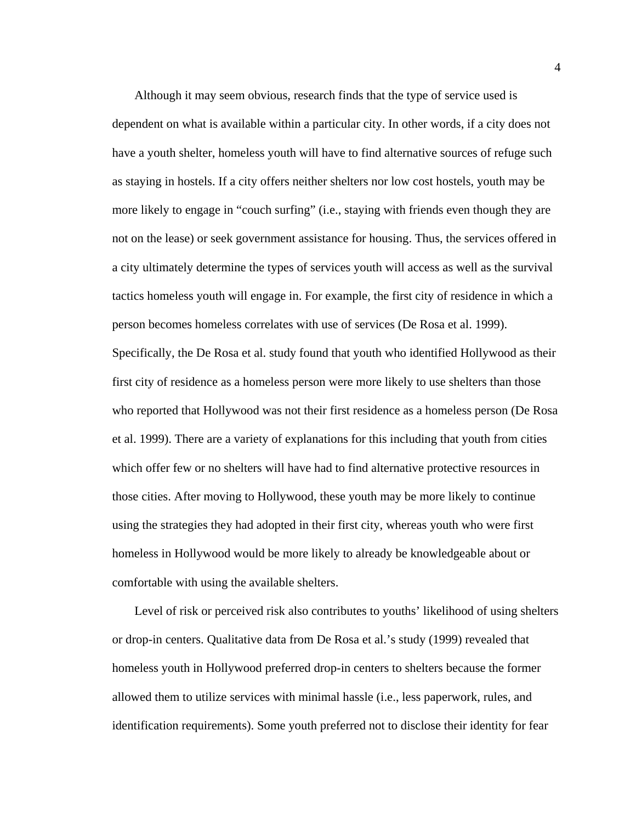Although it may seem obvious, research finds that the type of service used is dependent on what is available within a particular city. In other words, if a city does not have a youth shelter, homeless youth will have to find alternative sources of refuge such as staying in hostels. If a city offers neither shelters nor low cost hostels, youth may be more likely to engage in "couch surfing" (i.e., staying with friends even though they are not on the lease) or seek government assistance for housing. Thus, the services offered in a city ultimately determine the types of services youth will access as well as the survival tactics homeless youth will engage in. For example, the first city of residence in which a person becomes homeless correlates with use of services (De Rosa et al. 1999). Specifically, the De Rosa et al. study found that youth who identified Hollywood as their first city of residence as a homeless person were more likely to use shelters than those who reported that Hollywood was not their first residence as a homeless person (De Rosa et al. 1999). There are a variety of explanations for this including that youth from cities which offer few or no shelters will have had to find alternative protective resources in those cities. After moving to Hollywood, these youth may be more likely to continue using the strategies they had adopted in their first city, whereas youth who were first homeless in Hollywood would be more likely to already be knowledgeable about or comfortable with using the available shelters.

Level of risk or perceived risk also contributes to youths' likelihood of using shelters or drop-in centers. Qualitative data from De Rosa et al.'s study (1999) revealed that homeless youth in Hollywood preferred drop-in centers to shelters because the former allowed them to utilize services with minimal hassle (i.e., less paperwork, rules, and identification requirements). Some youth preferred not to disclose their identity for fear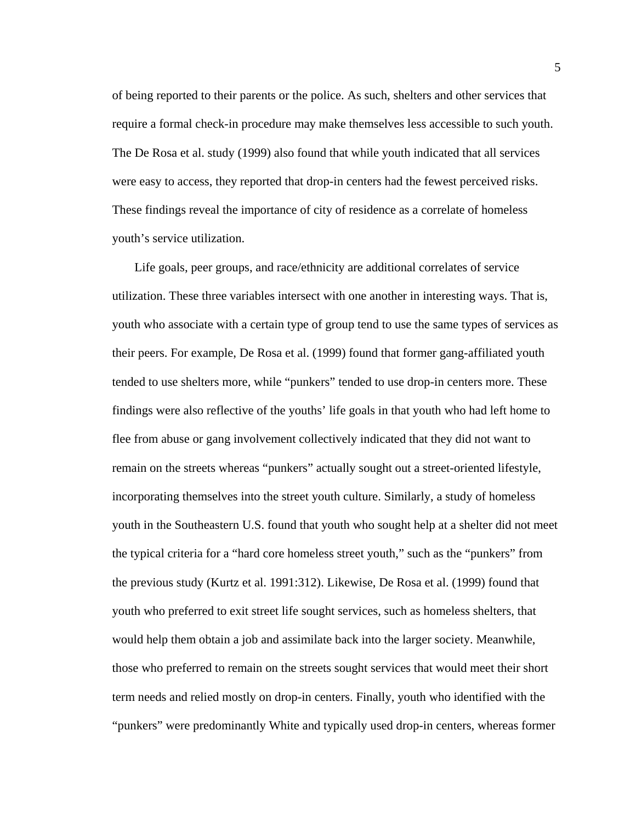of being reported to their parents or the police. As such, shelters and other services that require a formal check-in procedure may make themselves less accessible to such youth. The De Rosa et al. study (1999) also found that while youth indicated that all services were easy to access, they reported that drop-in centers had the fewest perceived risks. These findings reveal the importance of city of residence as a correlate of homeless youth's service utilization.

Life goals, peer groups, and race/ethnicity are additional correlates of service utilization. These three variables intersect with one another in interesting ways. That is, youth who associate with a certain type of group tend to use the same types of services as their peers. For example, De Rosa et al. (1999) found that former gang-affiliated youth tended to use shelters more, while "punkers" tended to use drop-in centers more. These findings were also reflective of the youths' life goals in that youth who had left home to flee from abuse or gang involvement collectively indicated that they did not want to remain on the streets whereas "punkers" actually sought out a street-oriented lifestyle, incorporating themselves into the street youth culture. Similarly, a study of homeless youth in the Southeastern U.S. found that youth who sought help at a shelter did not meet the typical criteria for a "hard core homeless street youth," such as the "punkers" from the previous study (Kurtz et al. 1991:312). Likewise, De Rosa et al. (1999) found that youth who preferred to exit street life sought services, such as homeless shelters, that would help them obtain a job and assimilate back into the larger society. Meanwhile, those who preferred to remain on the streets sought services that would meet their short term needs and relied mostly on drop-in centers. Finally, youth who identified with the "punkers" were predominantly White and typically used drop-in centers, whereas former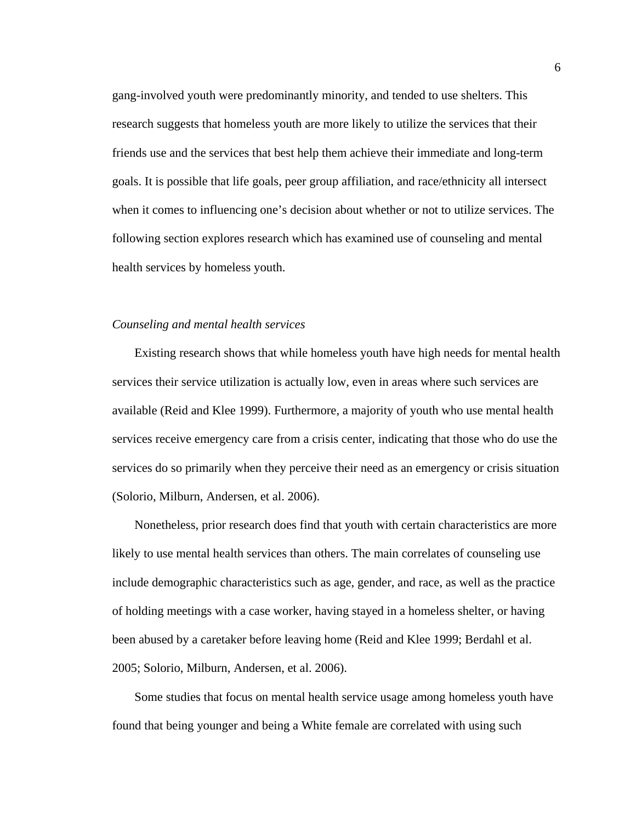gang-involved youth were predominantly minority, and tended to use shelters. This research suggests that homeless youth are more likely to utilize the services that their friends use and the services that best help them achieve their immediate and long-term goals. It is possible that life goals, peer group affiliation, and race/ethnicity all intersect when it comes to influencing one's decision about whether or not to utilize services. The following section explores research which has examined use of counseling and mental health services by homeless youth.

#### *Counseling and mental health services*

Existing research shows that while homeless youth have high needs for mental health services their service utilization is actually low, even in areas where such services are available (Reid and Klee 1999). Furthermore, a majority of youth who use mental health services receive emergency care from a crisis center, indicating that those who do use the services do so primarily when they perceive their need as an emergency or crisis situation (Solorio, Milburn, Andersen, et al. 2006).

Nonetheless, prior research does find that youth with certain characteristics are more likely to use mental health services than others. The main correlates of counseling use include demographic characteristics such as age, gender, and race, as well as the practice of holding meetings with a case worker, having stayed in a homeless shelter, or having been abused by a caretaker before leaving home (Reid and Klee 1999; Berdahl et al. 2005; Solorio, Milburn, Andersen, et al. 2006).

Some studies that focus on mental health service usage among homeless youth have found that being younger and being a White female are correlated with using such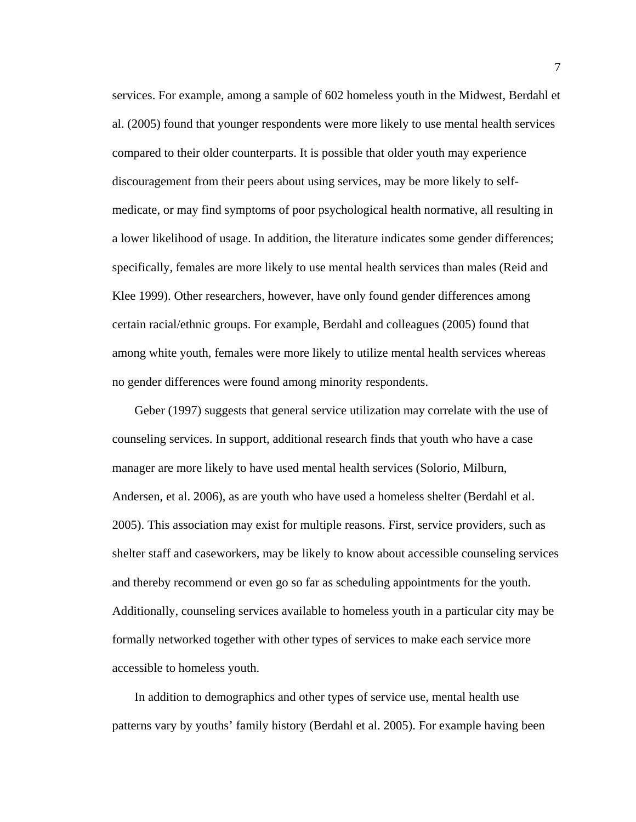services. For example, among a sample of 602 homeless youth in the Midwest, Berdahl et al. (2005) found that younger respondents were more likely to use mental health services compared to their older counterparts. It is possible that older youth may experience discouragement from their peers about using services, may be more likely to selfmedicate, or may find symptoms of poor psychological health normative, all resulting in a lower likelihood of usage. In addition, the literature indicates some gender differences; specifically, females are more likely to use mental health services than males (Reid and Klee 1999). Other researchers, however, have only found gender differences among certain racial/ethnic groups. For example, Berdahl and colleagues (2005) found that among white youth, females were more likely to utilize mental health services whereas no gender differences were found among minority respondents.

Geber (1997) suggests that general service utilization may correlate with the use of counseling services. In support, additional research finds that youth who have a case manager are more likely to have used mental health services (Solorio, Milburn, Andersen, et al. 2006), as are youth who have used a homeless shelter (Berdahl et al. 2005). This association may exist for multiple reasons. First, service providers, such as shelter staff and caseworkers, may be likely to know about accessible counseling services and thereby recommend or even go so far as scheduling appointments for the youth. Additionally, counseling services available to homeless youth in a particular city may be formally networked together with other types of services to make each service more accessible to homeless youth.

In addition to demographics and other types of service use, mental health use patterns vary by youths' family history (Berdahl et al. 2005). For example having been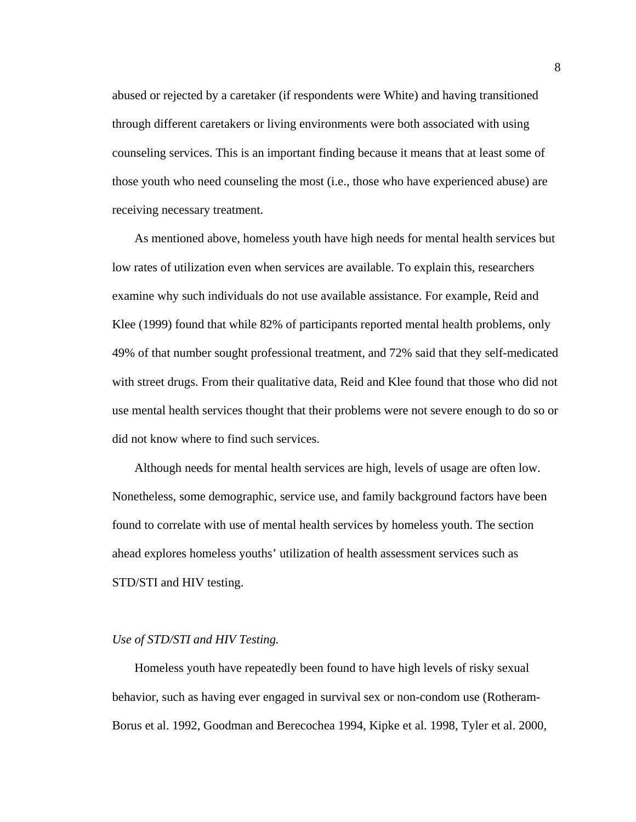abused or rejected by a caretaker (if respondents were White) and having transitioned through different caretakers or living environments were both associated with using counseling services. This is an important finding because it means that at least some of those youth who need counseling the most (i.e., those who have experienced abuse) are receiving necessary treatment.

As mentioned above, homeless youth have high needs for mental health services but low rates of utilization even when services are available. To explain this, researchers examine why such individuals do not use available assistance. For example, Reid and Klee (1999) found that while 82% of participants reported mental health problems, only 49% of that number sought professional treatment, and 72% said that they self-medicated with street drugs. From their qualitative data, Reid and Klee found that those who did not use mental health services thought that their problems were not severe enough to do so or did not know where to find such services.

Although needs for mental health services are high, levels of usage are often low. Nonetheless, some demographic, service use, and family background factors have been found to correlate with use of mental health services by homeless youth. The section ahead explores homeless youths' utilization of health assessment services such as STD/STI and HIV testing.

#### *Use of STD/STI and HIV Testing.*

Homeless youth have repeatedly been found to have high levels of risky sexual behavior, such as having ever engaged in survival sex or non-condom use (Rotheram-Borus et al. 1992, Goodman and Berecochea 1994, Kipke et al. 1998, Tyler et al. 2000,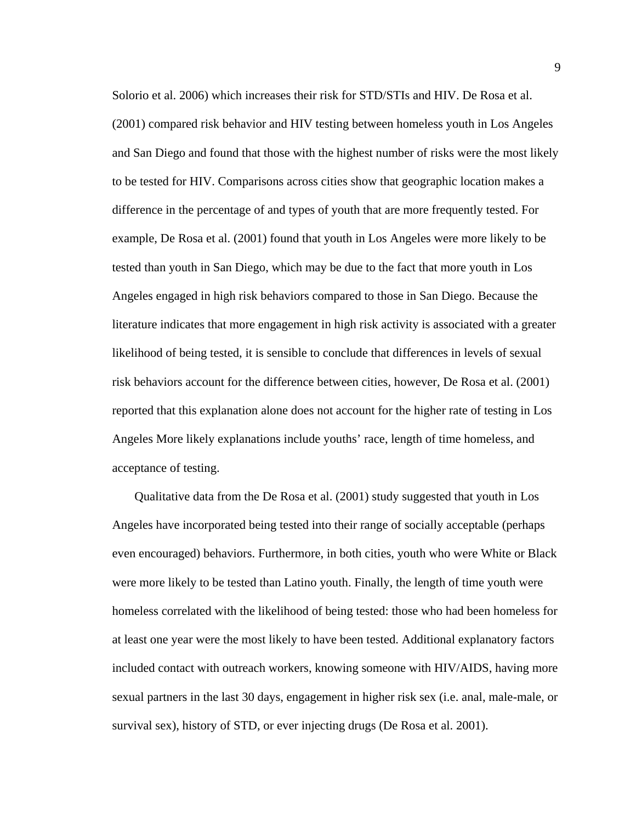Solorio et al. 2006) which increases their risk for STD/STIs and HIV. De Rosa et al. (2001) compared risk behavior and HIV testing between homeless youth in Los Angeles and San Diego and found that those with the highest number of risks were the most likely to be tested for HIV. Comparisons across cities show that geographic location makes a difference in the percentage of and types of youth that are more frequently tested. For example, De Rosa et al. (2001) found that youth in Los Angeles were more likely to be tested than youth in San Diego, which may be due to the fact that more youth in Los Angeles engaged in high risk behaviors compared to those in San Diego. Because the literature indicates that more engagement in high risk activity is associated with a greater likelihood of being tested, it is sensible to conclude that differences in levels of sexual risk behaviors account for the difference between cities, however, De Rosa et al. (2001) reported that this explanation alone does not account for the higher rate of testing in Los Angeles More likely explanations include youths' race, length of time homeless, and acceptance of testing.

Qualitative data from the De Rosa et al. (2001) study suggested that youth in Los Angeles have incorporated being tested into their range of socially acceptable (perhaps even encouraged) behaviors. Furthermore, in both cities, youth who were White or Black were more likely to be tested than Latino youth. Finally, the length of time youth were homeless correlated with the likelihood of being tested: those who had been homeless for at least one year were the most likely to have been tested. Additional explanatory factors included contact with outreach workers, knowing someone with HIV/AIDS, having more sexual partners in the last 30 days, engagement in higher risk sex (i.e. anal, male-male, or survival sex), history of STD, or ever injecting drugs (De Rosa et al. 2001).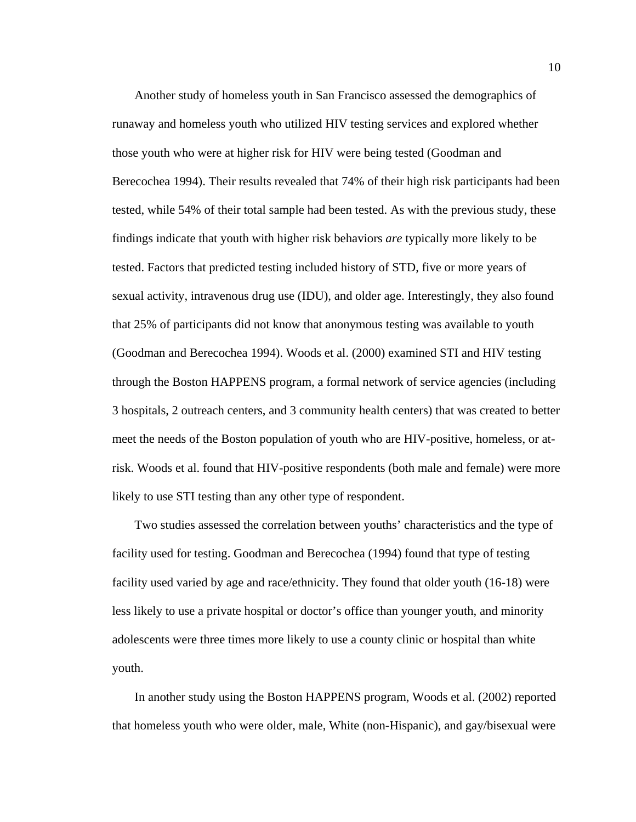Another study of homeless youth in San Francisco assessed the demographics of runaway and homeless youth who utilized HIV testing services and explored whether those youth who were at higher risk for HIV were being tested (Goodman and Berecochea 1994). Their results revealed that 74% of their high risk participants had been tested, while 54% of their total sample had been tested. As with the previous study, these findings indicate that youth with higher risk behaviors *are* typically more likely to be tested. Factors that predicted testing included history of STD, five or more years of sexual activity, intravenous drug use (IDU), and older age. Interestingly, they also found that 25% of participants did not know that anonymous testing was available to youth (Goodman and Berecochea 1994). Woods et al. (2000) examined STI and HIV testing through the Boston HAPPENS program, a formal network of service agencies (including 3 hospitals, 2 outreach centers, and 3 community health centers) that was created to better meet the needs of the Boston population of youth who are HIV-positive, homeless, or atrisk. Woods et al. found that HIV-positive respondents (both male and female) were more likely to use STI testing than any other type of respondent.

Two studies assessed the correlation between youths' characteristics and the type of facility used for testing. Goodman and Berecochea (1994) found that type of testing facility used varied by age and race/ethnicity. They found that older youth (16-18) were less likely to use a private hospital or doctor's office than younger youth, and minority adolescents were three times more likely to use a county clinic or hospital than white youth.

In another study using the Boston HAPPENS program, Woods et al. (2002) reported that homeless youth who were older, male, White (non-Hispanic), and gay/bisexual were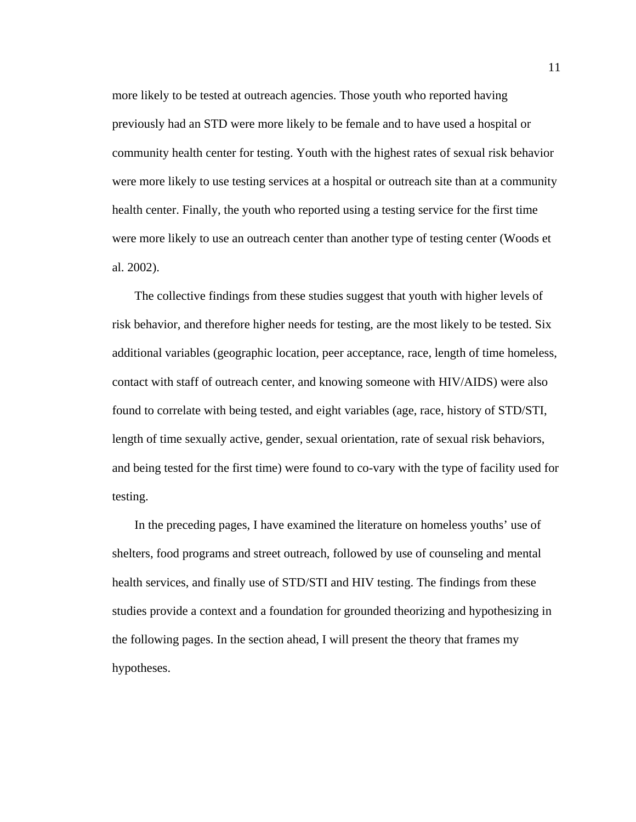more likely to be tested at outreach agencies. Those youth who reported having previously had an STD were more likely to be female and to have used a hospital or community health center for testing. Youth with the highest rates of sexual risk behavior were more likely to use testing services at a hospital or outreach site than at a community health center. Finally, the youth who reported using a testing service for the first time were more likely to use an outreach center than another type of testing center (Woods et al. 2002).

The collective findings from these studies suggest that youth with higher levels of risk behavior, and therefore higher needs for testing, are the most likely to be tested. Six additional variables (geographic location, peer acceptance, race, length of time homeless, contact with staff of outreach center, and knowing someone with HIV/AIDS) were also found to correlate with being tested, and eight variables (age, race, history of STD/STI, length of time sexually active, gender, sexual orientation, rate of sexual risk behaviors, and being tested for the first time) were found to co-vary with the type of facility used for testing.

In the preceding pages, I have examined the literature on homeless youths' use of shelters, food programs and street outreach, followed by use of counseling and mental health services, and finally use of STD/STI and HIV testing. The findings from these studies provide a context and a foundation for grounded theorizing and hypothesizing in the following pages. In the section ahead, I will present the theory that frames my hypotheses.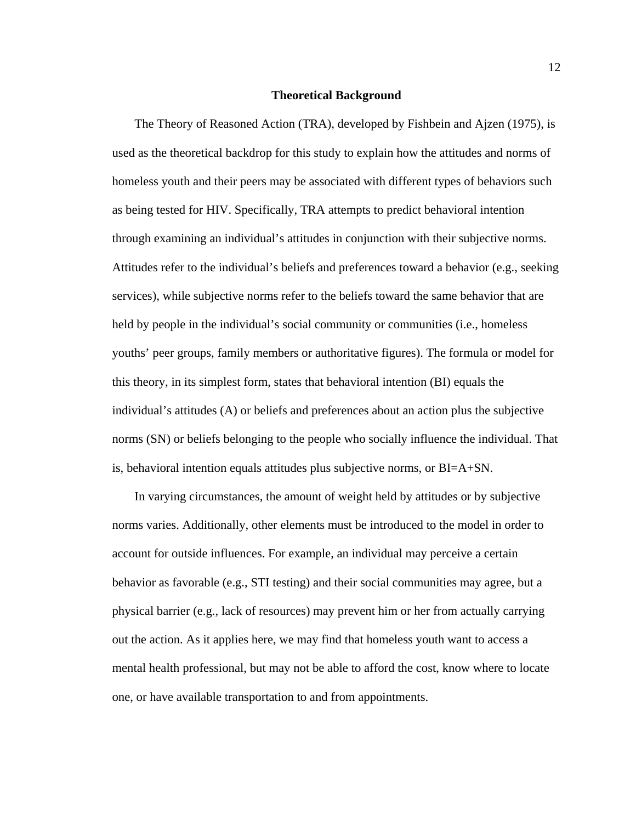#### **Theoretical Background**

The Theory of Reasoned Action (TRA), developed by Fishbein and Ajzen (1975), is used as the theoretical backdrop for this study to explain how the attitudes and norms of homeless youth and their peers may be associated with different types of behaviors such as being tested for HIV. Specifically, TRA attempts to predict behavioral intention through examining an individual's attitudes in conjunction with their subjective norms. Attitudes refer to the individual's beliefs and preferences toward a behavior (e.g., seeking services), while subjective norms refer to the beliefs toward the same behavior that are held by people in the individual's social community or communities (i.e., homeless youths' peer groups, family members or authoritative figures). The formula or model for this theory, in its simplest form, states that behavioral intention (BI) equals the individual's attitudes (A) or beliefs and preferences about an action plus the subjective norms (SN) or beliefs belonging to the people who socially influence the individual. That is, behavioral intention equals attitudes plus subjective norms, or BI=A+SN.

In varying circumstances, the amount of weight held by attitudes or by subjective norms varies. Additionally, other elements must be introduced to the model in order to account for outside influences. For example, an individual may perceive a certain behavior as favorable (e.g., STI testing) and their social communities may agree, but a physical barrier (e.g., lack of resources) may prevent him or her from actually carrying out the action. As it applies here, we may find that homeless youth want to access a mental health professional, but may not be able to afford the cost, know where to locate one, or have available transportation to and from appointments.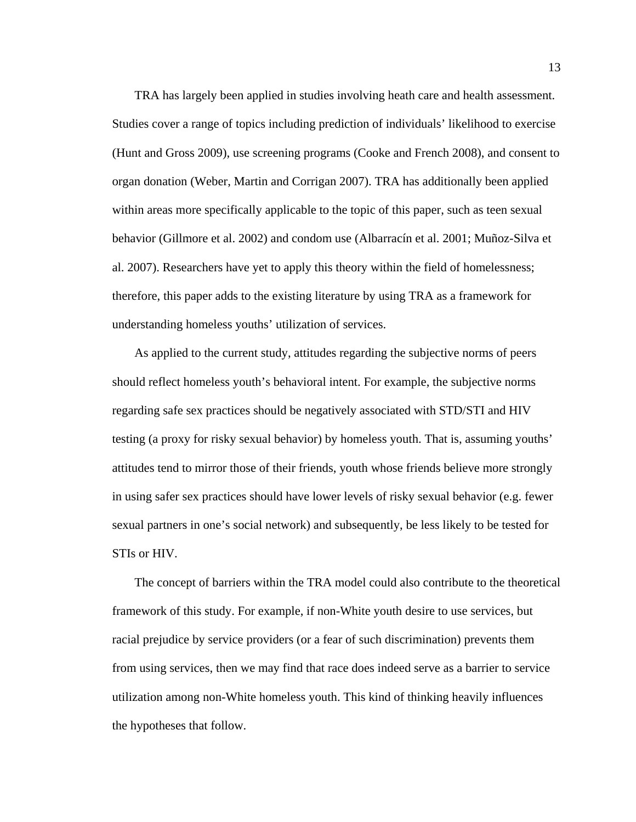TRA has largely been applied in studies involving heath care and health assessment. Studies cover a range of topics including prediction of individuals' likelihood to exercise (Hunt and Gross 2009), use screening programs (Cooke and French 2008), and consent to organ donation (Weber, Martin and Corrigan 2007). TRA has additionally been applied within areas more specifically applicable to the topic of this paper, such as teen sexual behavior (Gillmore et al. 2002) and condom use (Albarracín et al. 2001; Muñoz-Silva et al. 2007). Researchers have yet to apply this theory within the field of homelessness; therefore, this paper adds to the existing literature by using TRA as a framework for understanding homeless youths' utilization of services.

As applied to the current study, attitudes regarding the subjective norms of peers should reflect homeless youth's behavioral intent. For example, the subjective norms regarding safe sex practices should be negatively associated with STD/STI and HIV testing (a proxy for risky sexual behavior) by homeless youth. That is, assuming youths' attitudes tend to mirror those of their friends, youth whose friends believe more strongly in using safer sex practices should have lower levels of risky sexual behavior (e.g. fewer sexual partners in one's social network) and subsequently, be less likely to be tested for STIs or HIV.

The concept of barriers within the TRA model could also contribute to the theoretical framework of this study. For example, if non-White youth desire to use services, but racial prejudice by service providers (or a fear of such discrimination) prevents them from using services, then we may find that race does indeed serve as a barrier to service utilization among non-White homeless youth. This kind of thinking heavily influences the hypotheses that follow.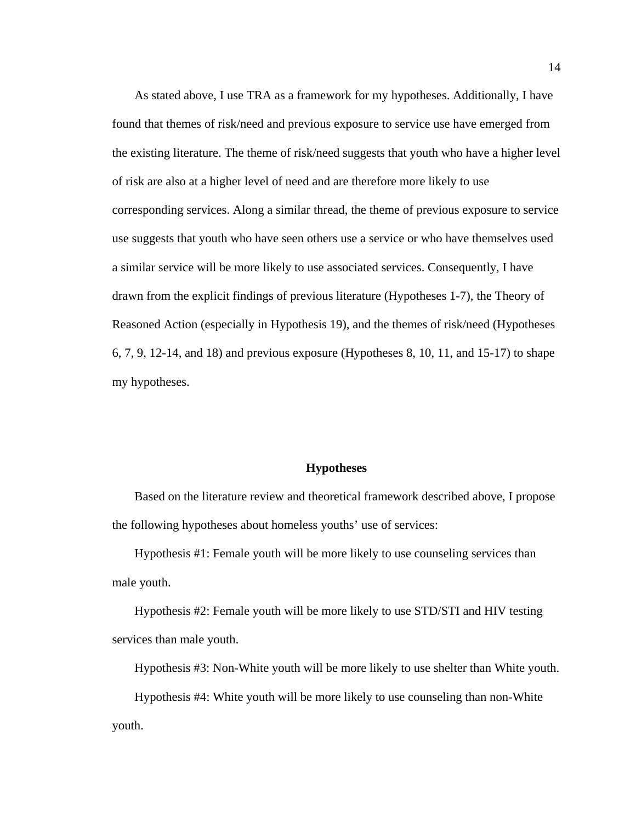As stated above, I use TRA as a framework for my hypotheses. Additionally, I have found that themes of risk/need and previous exposure to service use have emerged from the existing literature. The theme of risk/need suggests that youth who have a higher level of risk are also at a higher level of need and are therefore more likely to use corresponding services. Along a similar thread, the theme of previous exposure to service use suggests that youth who have seen others use a service or who have themselves used a similar service will be more likely to use associated services. Consequently, I have drawn from the explicit findings of previous literature (Hypotheses 1-7), the Theory of Reasoned Action (especially in Hypothesis 19), and the themes of risk/need (Hypotheses 6, 7, 9, 12-14, and 18) and previous exposure (Hypotheses 8, 10, 11, and 15-17) to shape my hypotheses.

#### **Hypotheses**

Based on the literature review and theoretical framework described above, I propose the following hypotheses about homeless youths' use of services:

Hypothesis #1: Female youth will be more likely to use counseling services than male youth.

Hypothesis #2: Female youth will be more likely to use STD/STI and HIV testing services than male youth.

Hypothesis #3: Non-White youth will be more likely to use shelter than White youth.

Hypothesis #4: White youth will be more likely to use counseling than non-White youth.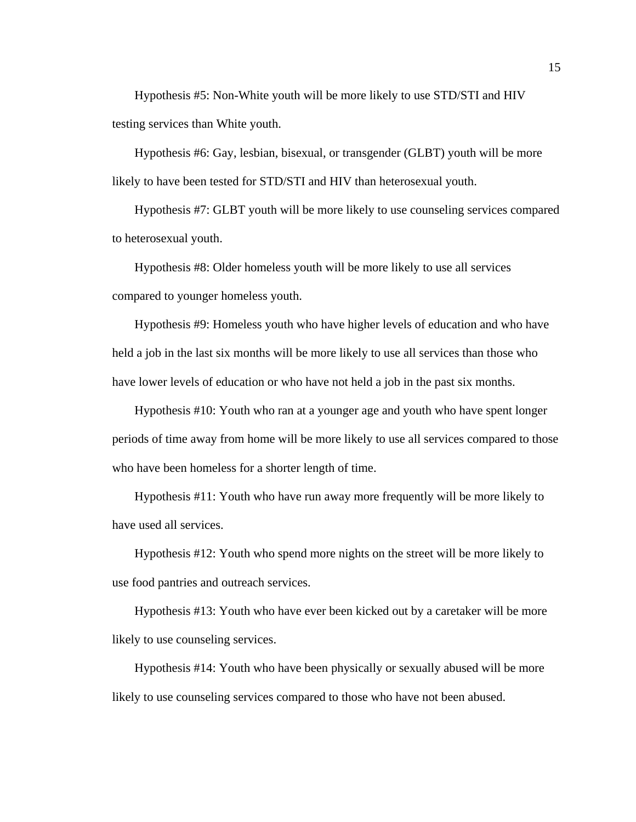Hypothesis #5: Non-White youth will be more likely to use STD/STI and HIV testing services than White youth.

Hypothesis #6: Gay, lesbian, bisexual, or transgender (GLBT) youth will be more likely to have been tested for STD/STI and HIV than heterosexual youth.

Hypothesis #7: GLBT youth will be more likely to use counseling services compared to heterosexual youth.

Hypothesis #8: Older homeless youth will be more likely to use all services compared to younger homeless youth.

Hypothesis #9: Homeless youth who have higher levels of education and who have held a job in the last six months will be more likely to use all services than those who have lower levels of education or who have not held a job in the past six months.

Hypothesis #10: Youth who ran at a younger age and youth who have spent longer periods of time away from home will be more likely to use all services compared to those who have been homeless for a shorter length of time.

Hypothesis #11: Youth who have run away more frequently will be more likely to have used all services.

Hypothesis #12: Youth who spend more nights on the street will be more likely to use food pantries and outreach services.

Hypothesis #13: Youth who have ever been kicked out by a caretaker will be more likely to use counseling services.

Hypothesis #14: Youth who have been physically or sexually abused will be more likely to use counseling services compared to those who have not been abused.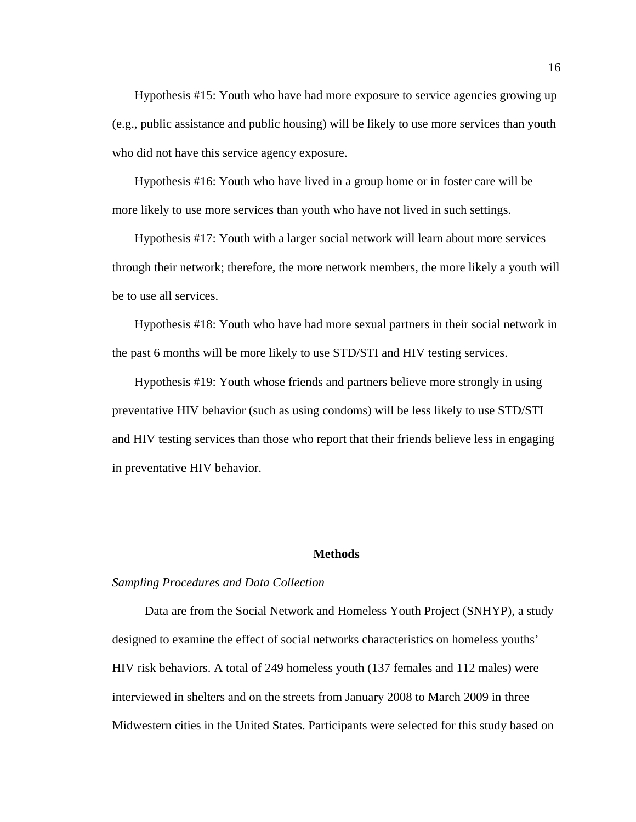Hypothesis #15: Youth who have had more exposure to service agencies growing up (e.g., public assistance and public housing) will be likely to use more services than youth who did not have this service agency exposure.

Hypothesis #16: Youth who have lived in a group home or in foster care will be more likely to use more services than youth who have not lived in such settings.

Hypothesis #17: Youth with a larger social network will learn about more services through their network; therefore, the more network members, the more likely a youth will be to use all services.

Hypothesis #18: Youth who have had more sexual partners in their social network in the past 6 months will be more likely to use STD/STI and HIV testing services.

Hypothesis #19: Youth whose friends and partners believe more strongly in using preventative HIV behavior (such as using condoms) will be less likely to use STD/STI and HIV testing services than those who report that their friends believe less in engaging in preventative HIV behavior.

# **Methods**

#### *Sampling Procedures and Data Collection*

Data are from the Social Network and Homeless Youth Project (SNHYP), a study designed to examine the effect of social networks characteristics on homeless youths' HIV risk behaviors. A total of 249 homeless youth (137 females and 112 males) were interviewed in shelters and on the streets from January 2008 to March 2009 in three Midwestern cities in the United States. Participants were selected for this study based on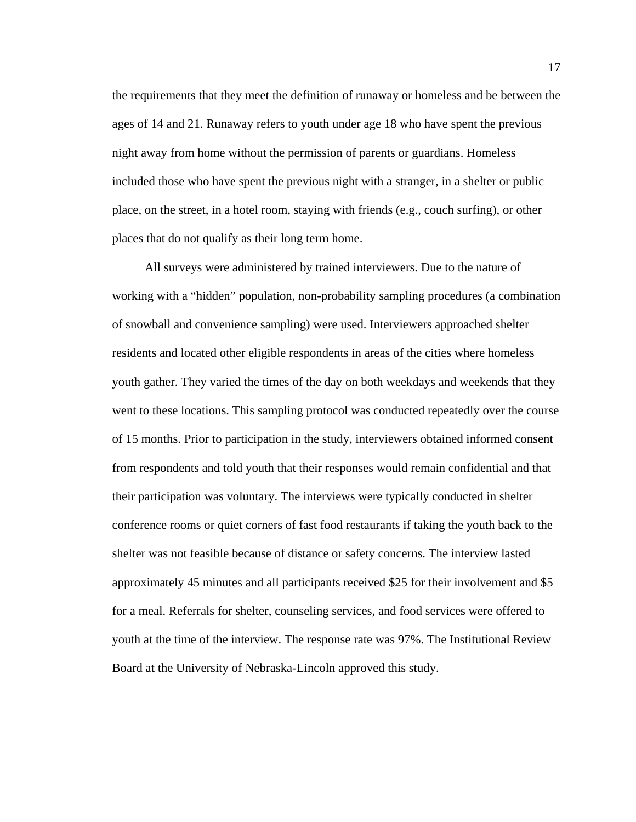the requirements that they meet the definition of runaway or homeless and be between the ages of 14 and 21. Runaway refers to youth under age 18 who have spent the previous night away from home without the permission of parents or guardians. Homeless included those who have spent the previous night with a stranger, in a shelter or public place, on the street, in a hotel room, staying with friends (e.g., couch surfing), or other places that do not qualify as their long term home.

All surveys were administered by trained interviewers. Due to the nature of working with a "hidden" population, non-probability sampling procedures (a combination of snowball and convenience sampling) were used. Interviewers approached shelter residents and located other eligible respondents in areas of the cities where homeless youth gather. They varied the times of the day on both weekdays and weekends that they went to these locations. This sampling protocol was conducted repeatedly over the course of 15 months. Prior to participation in the study, interviewers obtained informed consent from respondents and told youth that their responses would remain confidential and that their participation was voluntary. The interviews were typically conducted in shelter conference rooms or quiet corners of fast food restaurants if taking the youth back to the shelter was not feasible because of distance or safety concerns. The interview lasted approximately 45 minutes and all participants received \$25 for their involvement and \$5 for a meal. Referrals for shelter, counseling services, and food services were offered to youth at the time of the interview. The response rate was 97%. The Institutional Review Board at the University of Nebraska-Lincoln approved this study.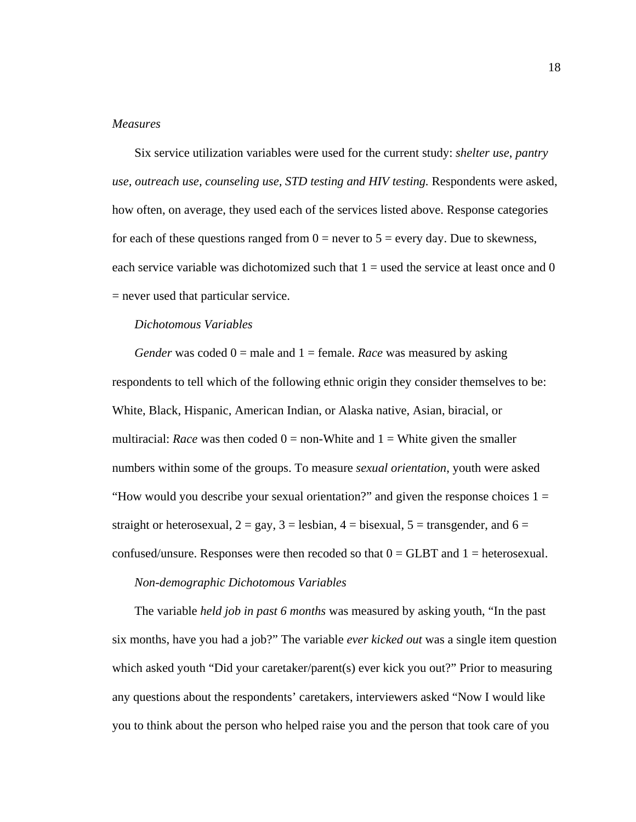### *Measures*

Six service utilization variables were used for the current study: *shelter use*, *pantry use, outreach use, counseling use, STD testing and HIV testing.* Respondents were asked, how often, on average, they used each of the services listed above. Response categories for each of these questions ranged from  $0 =$  never to  $5 =$  every day. Due to skewness, each service variable was dichotomized such that  $1 =$  used the service at least once and 0 = never used that particular service.

#### *Dichotomous Variables*

*Gender* was coded 0 = male and 1 = female. *Race* was measured by asking respondents to tell which of the following ethnic origin they consider themselves to be: White, Black, Hispanic, American Indian, or Alaska native, Asian, biracial, or multiracial: *Race* was then coded  $0 =$  non-White and  $1 =$  White given the smaller numbers within some of the groups. To measure *sexual orientation*, youth were asked "How would you describe your sexual orientation?" and given the response choices  $1 =$ straight or heterosexual,  $2 = \text{gay}$ ,  $3 = \text{lesbian}$ ,  $4 = \text{bisexual}$ ,  $5 = \text{transgender}$ , and  $6 =$ confused/unsure. Responses were then recoded so that  $0 = \text{GLBT}$  and  $1 = \text{heterosexual}$ .

# *Non-demographic Dichotomous Variables*

The variable *held job in past 6 months* was measured by asking youth, "In the past six months, have you had a job?" The variable *ever kicked out* was a single item question which asked youth "Did your caretaker/parent(s) ever kick you out?" Prior to measuring any questions about the respondents' caretakers, interviewers asked "Now I would like you to think about the person who helped raise you and the person that took care of you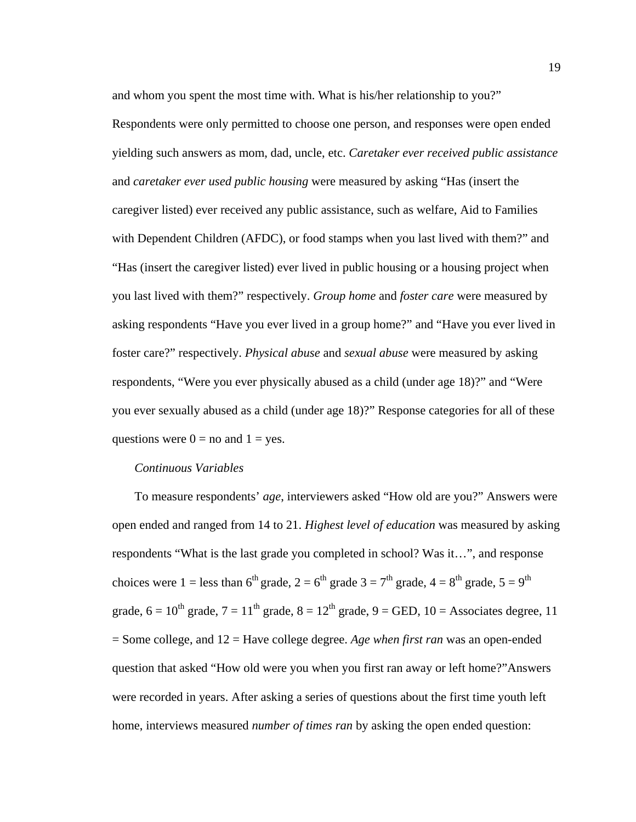and whom you spent the most time with. What is his/her relationship to you?"

Respondents were only permitted to choose one person, and responses were open ended yielding such answers as mom, dad, uncle, etc. *Caretaker ever received public assistance* and *caretaker ever used public housing* were measured by asking "Has (insert the caregiver listed) ever received any public assistance, such as welfare, Aid to Families with Dependent Children (AFDC), or food stamps when you last lived with them?" and "Has (insert the caregiver listed) ever lived in public housing or a housing project when you last lived with them?" respectively. *Group home* and *foster care* were measured by asking respondents "Have you ever lived in a group home?" and "Have you ever lived in foster care?" respectively. *Physical abuse* and *sexual abuse* were measured by asking respondents, "Were you ever physically abused as a child (under age 18)?" and "Were you ever sexually abused as a child (under age 18)?" Response categories for all of these questions were  $0 =$  no and  $1 =$  yes.

#### *Continuous Variables*

To measure respondents' *age*, interviewers asked "How old are you?" Answers were open ended and ranged from 14 to 21. *Highest level of education* was measured by asking respondents "What is the last grade you completed in school? Was it…", and response choices were 1 = less than 6<sup>th</sup> grade, 2 = 6<sup>th</sup> grade 3 = 7<sup>th</sup> grade, 4 = 8<sup>th</sup> grade, 5 = 9<sup>th</sup> grade,  $6 = 10^{th}$  grade,  $7 = 11^{th}$  grade,  $8 = 12^{th}$  grade,  $9 = \text{GED}$ ,  $10 = \text{Associates degree}$ , 11 = Some college, and 12 = Have college degree. *Age when first ran* was an open-ended question that asked "How old were you when you first ran away or left home?"Answers were recorded in years. After asking a series of questions about the first time youth left home, interviews measured *number of times ran* by asking the open ended question: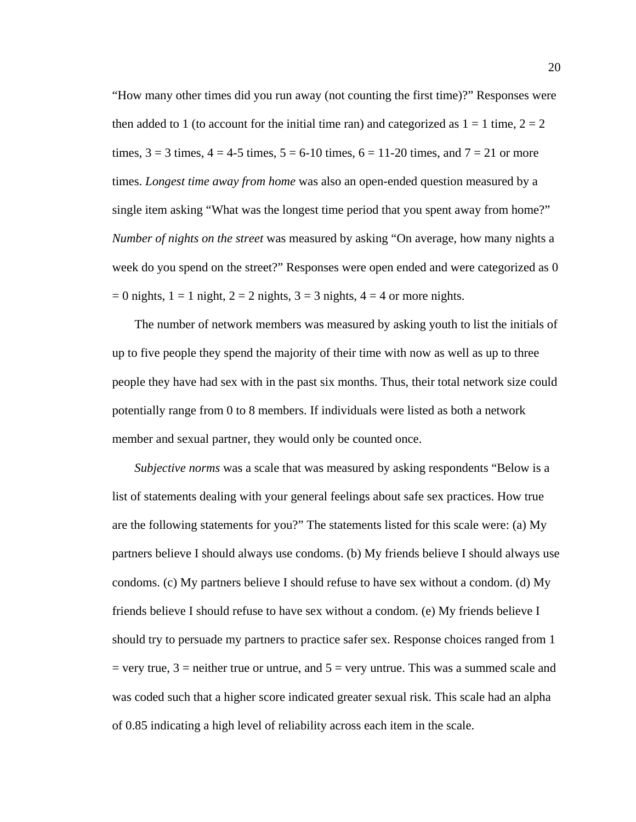"How many other times did you run away (not counting the first time)?" Responses were then added to 1 (to account for the initial time ran) and categorized as  $1 = 1$  time,  $2 = 2$ times,  $3 = 3$  times,  $4 = 4-5$  times,  $5 = 6-10$  times,  $6 = 11-20$  times, and  $7 = 21$  or more times. *Longest time away from home* was also an open-ended question measured by a single item asking "What was the longest time period that you spent away from home?" *Number of nights on the street* was measured by asking "On average, how many nights a week do you spend on the street?" Responses were open ended and were categorized as 0  $= 0$  nights,  $1 = 1$  night,  $2 = 2$  nights,  $3 = 3$  nights,  $4 = 4$  or more nights.

The number of network members was measured by asking youth to list the initials of up to five people they spend the majority of their time with now as well as up to three people they have had sex with in the past six months. Thus, their total network size could potentially range from 0 to 8 members. If individuals were listed as both a network member and sexual partner, they would only be counted once.

*Subjective norms* was a scale that was measured by asking respondents "Below is a list of statements dealing with your general feelings about safe sex practices. How true are the following statements for you?" The statements listed for this scale were: (a) My partners believe I should always use condoms. (b) My friends believe I should always use condoms. (c) My partners believe I should refuse to have sex without a condom. (d) My friends believe I should refuse to have sex without a condom. (e) My friends believe I should try to persuade my partners to practice safer sex. Response choices ranged from 1  $=$  very true,  $3 =$  neither true or untrue, and  $5 =$  very untrue. This was a summed scale and was coded such that a higher score indicated greater sexual risk. This scale had an alpha of 0.85 indicating a high level of reliability across each item in the scale.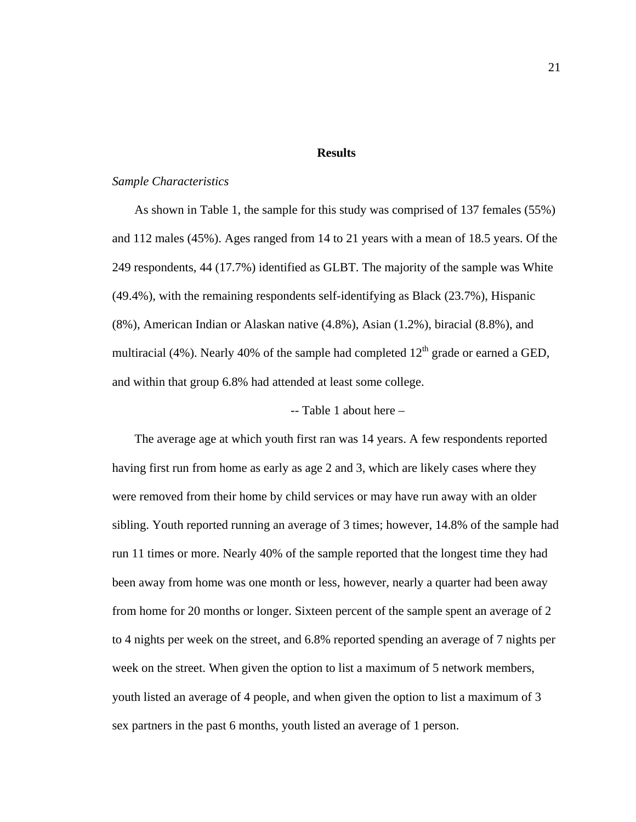#### **Results**

#### *Sample Characteristics*

As shown in Table 1, the sample for this study was comprised of 137 females (55%) and 112 males (45%). Ages ranged from 14 to 21 years with a mean of 18.5 years. Of the 249 respondents, 44 (17.7%) identified as GLBT. The majority of the sample was White (49.4%), with the remaining respondents self-identifying as Black (23.7%), Hispanic (8%), American Indian or Alaskan native (4.8%), Asian (1.2%), biracial (8.8%), and multiracial (4%). Nearly 40% of the sample had completed  $12<sup>th</sup>$  grade or earned a GED, and within that group 6.8% had attended at least some college.

#### -- Table 1 about here –

The average age at which youth first ran was 14 years. A few respondents reported having first run from home as early as age 2 and 3, which are likely cases where they were removed from their home by child services or may have run away with an older sibling. Youth reported running an average of 3 times; however, 14.8% of the sample had run 11 times or more. Nearly 40% of the sample reported that the longest time they had been away from home was one month or less, however, nearly a quarter had been away from home for 20 months or longer. Sixteen percent of the sample spent an average of 2 to 4 nights per week on the street, and 6.8% reported spending an average of 7 nights per week on the street. When given the option to list a maximum of 5 network members, youth listed an average of 4 people, and when given the option to list a maximum of 3 sex partners in the past 6 months, youth listed an average of 1 person.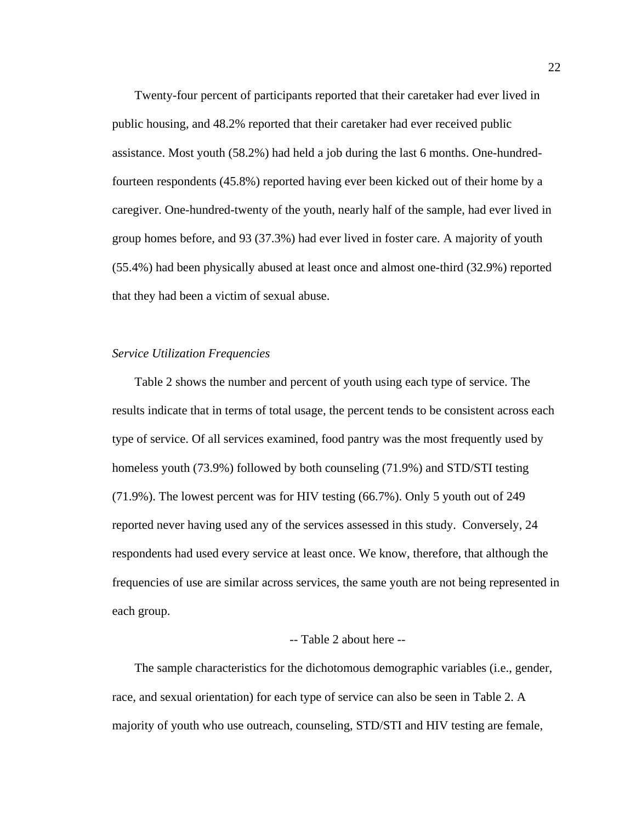Twenty-four percent of participants reported that their caretaker had ever lived in public housing, and 48.2% reported that their caretaker had ever received public assistance. Most youth (58.2%) had held a job during the last 6 months. One-hundredfourteen respondents (45.8%) reported having ever been kicked out of their home by a caregiver. One-hundred-twenty of the youth, nearly half of the sample, had ever lived in group homes before, and 93 (37.3%) had ever lived in foster care. A majority of youth (55.4%) had been physically abused at least once and almost one-third (32.9%) reported that they had been a victim of sexual abuse.

#### *Service Utilization Frequencies*

Table 2 shows the number and percent of youth using each type of service. The results indicate that in terms of total usage, the percent tends to be consistent across each type of service. Of all services examined, food pantry was the most frequently used by homeless youth (73.9%) followed by both counseling (71.9%) and STD/STI testing (71.9%). The lowest percent was for HIV testing (66.7%). Only 5 youth out of 249 reported never having used any of the services assessed in this study. Conversely, 24 respondents had used every service at least once. We know, therefore, that although the frequencies of use are similar across services, the same youth are not being represented in each group.

#### -- Table 2 about here --

The sample characteristics for the dichotomous demographic variables (i.e., gender, race, and sexual orientation) for each type of service can also be seen in Table 2. A majority of youth who use outreach, counseling, STD/STI and HIV testing are female,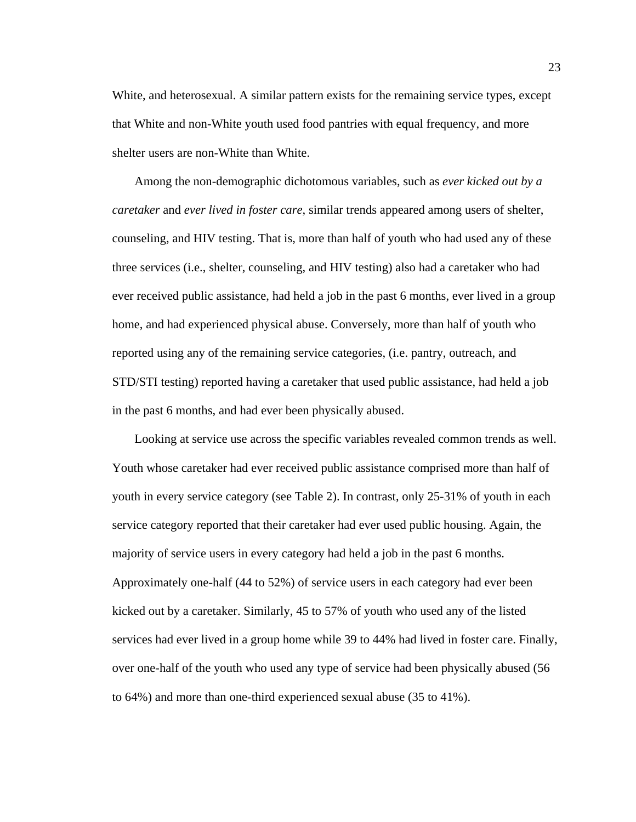White, and heterosexual. A similar pattern exists for the remaining service types, except that White and non-White youth used food pantries with equal frequency, and more shelter users are non-White than White.

Among the non-demographic dichotomous variables, such as *ever kicked out by a caretaker* and *ever lived in foster care*, similar trends appeared among users of shelter, counseling, and HIV testing. That is, more than half of youth who had used any of these three services (i.e., shelter, counseling, and HIV testing) also had a caretaker who had ever received public assistance, had held a job in the past 6 months, ever lived in a group home, and had experienced physical abuse. Conversely, more than half of youth who reported using any of the remaining service categories, (i.e. pantry, outreach, and STD/STI testing) reported having a caretaker that used public assistance, had held a job in the past 6 months, and had ever been physically abused.

Looking at service use across the specific variables revealed common trends as well. Youth whose caretaker had ever received public assistance comprised more than half of youth in every service category (see Table 2). In contrast, only 25-31% of youth in each service category reported that their caretaker had ever used public housing. Again, the majority of service users in every category had held a job in the past 6 months. Approximately one-half (44 to 52%) of service users in each category had ever been kicked out by a caretaker. Similarly, 45 to 57% of youth who used any of the listed services had ever lived in a group home while 39 to 44% had lived in foster care. Finally, over one-half of the youth who used any type of service had been physically abused (56 to 64%) and more than one-third experienced sexual abuse (35 to 41%).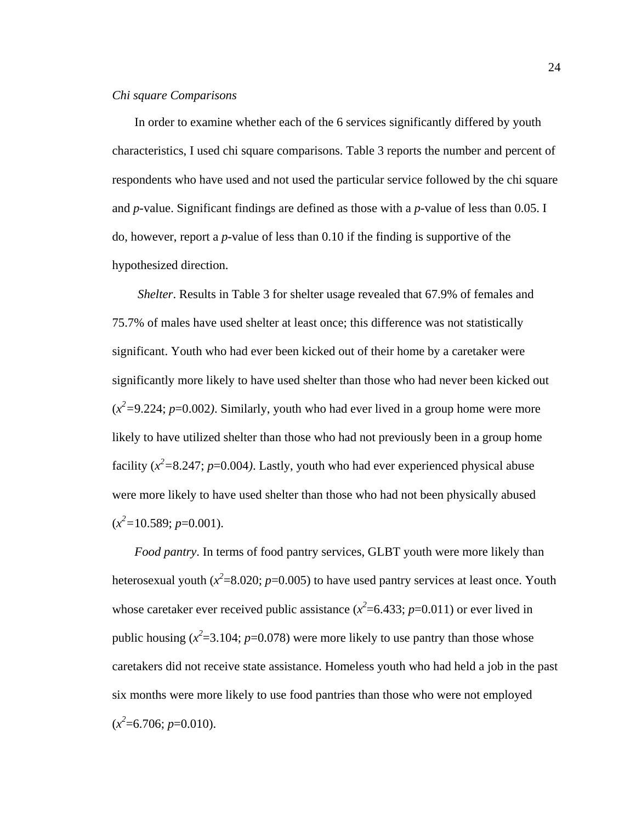### *Chi square Comparisons*

In order to examine whether each of the 6 services significantly differed by youth characteristics, I used chi square comparisons. Table 3 reports the number and percent of respondents who have used and not used the particular service followed by the chi square and *p*-value. Significant findings are defined as those with a *p*-value of less than 0.05. I do, however, report a *p*-value of less than 0.10 if the finding is supportive of the hypothesized direction.

*Shelter*. Results in Table 3 for shelter usage revealed that 67.9% of females and 75.7% of males have used shelter at least once; this difference was not statistically significant. Youth who had ever been kicked out of their home by a caretaker were significantly more likely to have used shelter than those who had never been kicked out  $(x^2=9.224; p=0.002)$ . Similarly, youth who had ever lived in a group home were more likely to have utilized shelter than those who had not previously been in a group home facility  $(x^2=8.247; p=0.004)$ . Lastly, youth who had ever experienced physical abuse were more likely to have used shelter than those who had not been physically abused  $(x^2=10.589; p=0.001)$ .

*Food pantry*. In terms of food pantry services, GLBT youth were more likely than heterosexual youth  $(x^2=8.020; p=0.005)$  to have used pantry services at least once. Youth whose caretaker ever received public assistance  $(x^2=6.433; p=0.011)$  or ever lived in public housing  $(x^2=3.104; p=0.078)$  were more likely to use pantry than those whose caretakers did not receive state assistance. Homeless youth who had held a job in the past six months were more likely to use food pantries than those who were not employed  $(x^2=6.706; p=0.010)$ .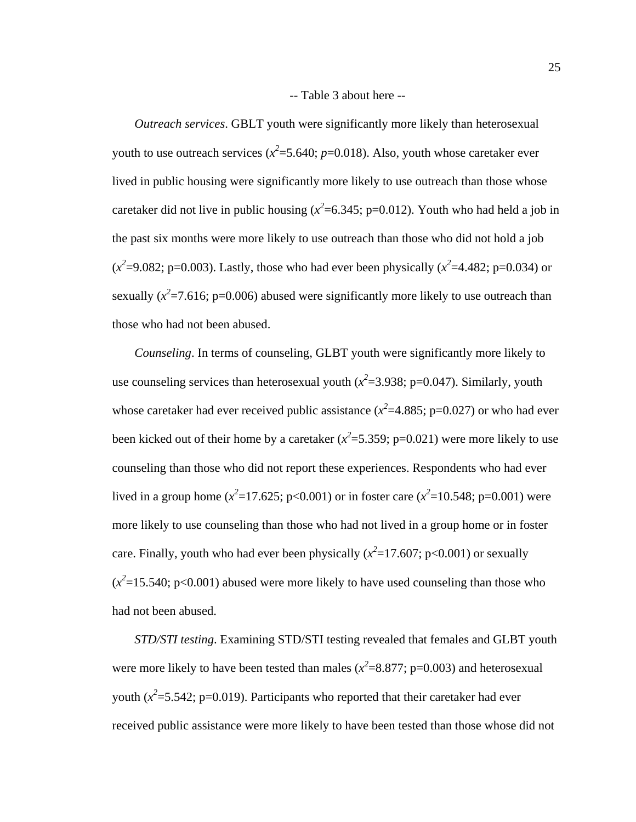-- Table 3 about here --

*Outreach services*. GBLT youth were significantly more likely than heterosexual youth to use outreach services ( $x^2$ =5.640;  $p$ =0.018). Also, youth whose caretaker ever lived in public housing were significantly more likely to use outreach than those whose caretaker did not live in public housing  $(x^2=6.345; p=0.012)$ . Youth who had held a job in the past six months were more likely to use outreach than those who did not hold a job  $(x^2=9.082; p=0.003)$ . Lastly, those who had ever been physically  $(x^2=4.482; p=0.034)$  or sexually  $(x^2=7.616; p=0.006)$  abused were significantly more likely to use outreach than those who had not been abused.

*Counseling*. In terms of counseling, GLBT youth were significantly more likely to use counseling services than heterosexual youth  $(x^2=3.938; p=0.047)$ . Similarly, youth whose caretaker had ever received public assistance ( $x^2$  = 4.885; p=0.027) or who had ever been kicked out of their home by a caretaker  $(x^2=5.359; p=0.021)$  were more likely to use counseling than those who did not report these experiences. Respondents who had ever lived in a group home ( $x^2$ =17.625; p<0.001) or in foster care ( $x^2$ =10.548; p=0.001) were more likely to use counseling than those who had not lived in a group home or in foster care. Finally, youth who had ever been physically  $(x^2=17.607; p<0.001)$  or sexually  $(x^2=15.540; p<0.001)$  abused were more likely to have used counseling than those who had not been abused.

*STD/STI testing*. Examining STD/STI testing revealed that females and GLBT youth were more likely to have been tested than males ( $x^2$ =8.877; p=0.003) and heterosexual youth  $(x^2=5.542; p=0.019)$ . Participants who reported that their caretaker had ever received public assistance were more likely to have been tested than those whose did not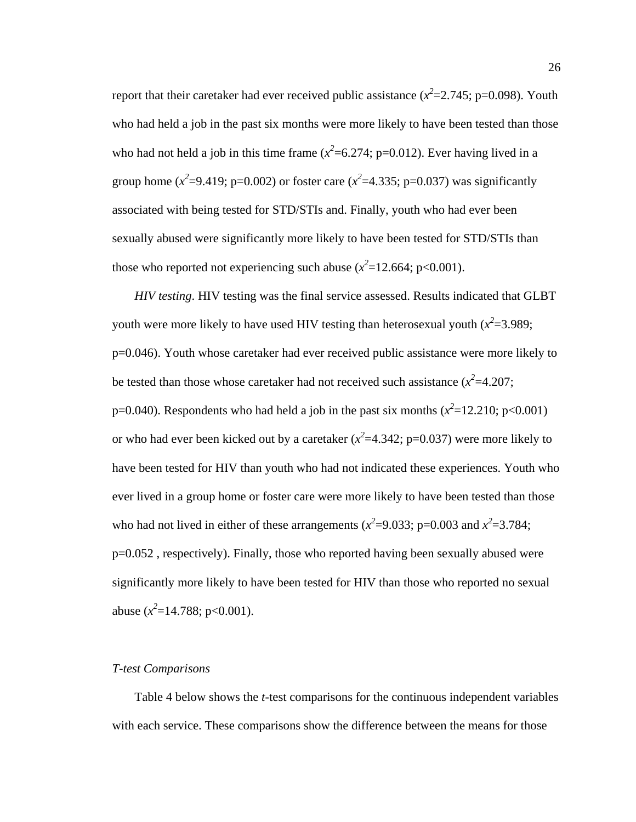report that their caretaker had ever received public assistance  $(x^2=2.745; p=0.098)$ . Youth who had held a job in the past six months were more likely to have been tested than those who had not held a job in this time frame  $(x^2=6.274; p=0.012)$ . Ever having lived in a group home ( $x^2$ =9.419; p=0.002) or foster care ( $x^2$ =4.335; p=0.037) was significantly associated with being tested for STD/STIs and. Finally, youth who had ever been sexually abused were significantly more likely to have been tested for STD/STIs than those who reported not experiencing such abuse  $(x^2=12.664; p<0.001)$ .

*HIV testing*. HIV testing was the final service assessed. Results indicated that GLBT youth were more likely to have used HIV testing than heterosexual youth  $(x^2=3.989;$ p=0.046). Youth whose caretaker had ever received public assistance were more likely to be tested than those whose caretaker had not received such assistance  $(x^2=4.207;$ p=0.040). Respondents who had held a job in the past six months  $(x^2=12.210; p<0.001)$ or who had ever been kicked out by a caretaker  $(x^2=4.342; p=0.037)$  were more likely to have been tested for HIV than youth who had not indicated these experiences. Youth who ever lived in a group home or foster care were more likely to have been tested than those who had not lived in either of these arrangements ( $x^2$ =9.033; p=0.003 and  $x^2$ =3.784; p=0.052 , respectively). Finally, those who reported having been sexually abused were significantly more likely to have been tested for HIV than those who reported no sexual abuse  $(x^2=14.788; p<0.001)$ .

#### *T-test Comparisons*

Table 4 below shows the *t*-test comparisons for the continuous independent variables with each service. These comparisons show the difference between the means for those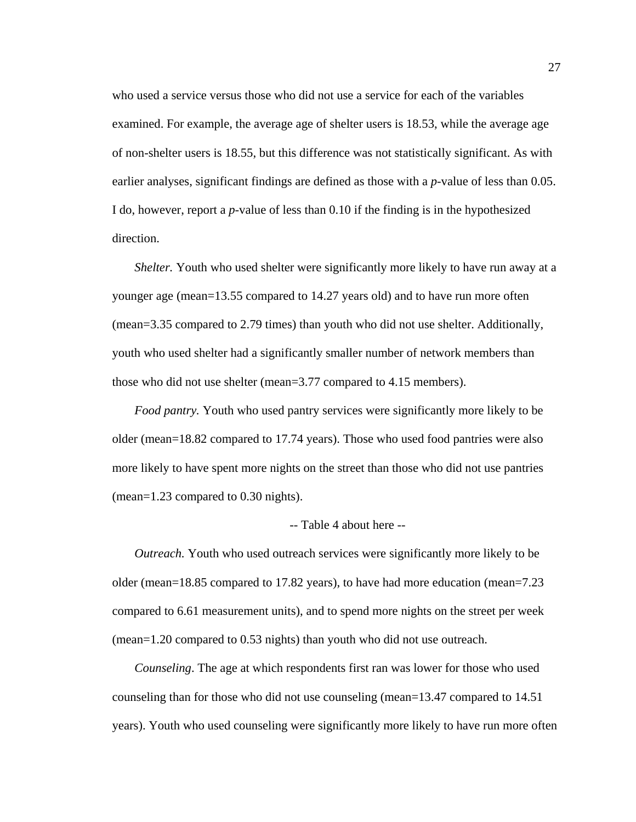who used a service versus those who did not use a service for each of the variables examined. For example, the average age of shelter users is 18.53, while the average age of non-shelter users is 18.55, but this difference was not statistically significant. As with earlier analyses, significant findings are defined as those with a *p*-value of less than 0.05. I do, however, report a *p*-value of less than 0.10 if the finding is in the hypothesized direction.

*Shelter.* Youth who used shelter were significantly more likely to have run away at a younger age (mean=13.55 compared to 14.27 years old) and to have run more often (mean=3.35 compared to 2.79 times) than youth who did not use shelter. Additionally, youth who used shelter had a significantly smaller number of network members than those who did not use shelter (mean=3.77 compared to 4.15 members).

*Food pantry.* Youth who used pantry services were significantly more likely to be older (mean=18.82 compared to 17.74 years). Those who used food pantries were also more likely to have spent more nights on the street than those who did not use pantries (mean=1.23 compared to 0.30 nights).

#### -- Table 4 about here --

*Outreach.* Youth who used outreach services were significantly more likely to be older (mean=18.85 compared to 17.82 years), to have had more education (mean=7.23 compared to 6.61 measurement units), and to spend more nights on the street per week (mean=1.20 compared to 0.53 nights) than youth who did not use outreach.

*Counseling*. The age at which respondents first ran was lower for those who used counseling than for those who did not use counseling (mean=13.47 compared to 14.51 years). Youth who used counseling were significantly more likely to have run more often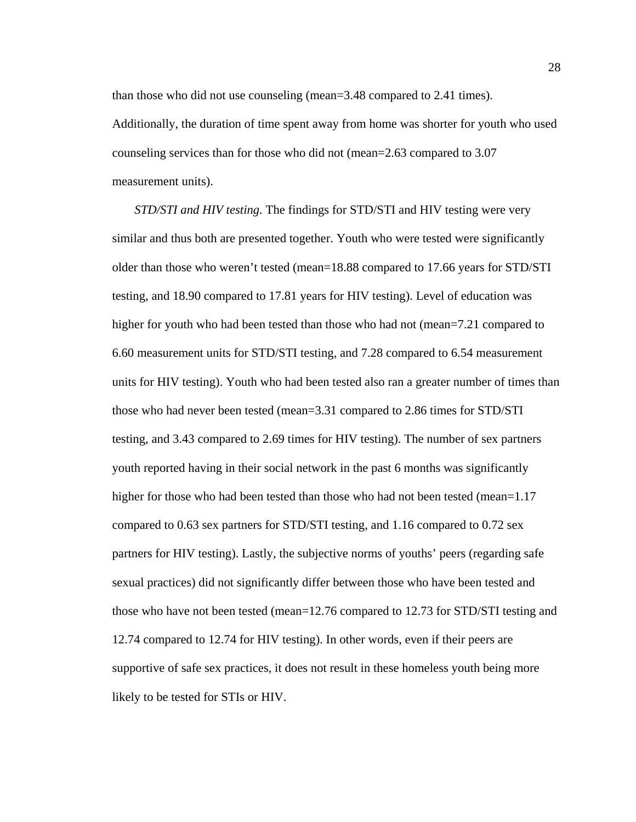than those who did not use counseling (mean=3.48 compared to 2.41 times). Additionally, the duration of time spent away from home was shorter for youth who used counseling services than for those who did not (mean=2.63 compared to 3.07 measurement units).

*STD/STI and HIV testing.* The findings for STD/STI and HIV testing were very similar and thus both are presented together. Youth who were tested were significantly older than those who weren't tested (mean=18.88 compared to 17.66 years for STD/STI testing, and 18.90 compared to 17.81 years for HIV testing). Level of education was higher for youth who had been tested than those who had not (mean=7.21 compared to 6.60 measurement units for STD/STI testing, and 7.28 compared to 6.54 measurement units for HIV testing). Youth who had been tested also ran a greater number of times than those who had never been tested (mean=3.31 compared to 2.86 times for STD/STI testing, and 3.43 compared to 2.69 times for HIV testing). The number of sex partners youth reported having in their social network in the past 6 months was significantly higher for those who had been tested than those who had not been tested (mean=1.17 compared to 0.63 sex partners for STD/STI testing, and 1.16 compared to 0.72 sex partners for HIV testing). Lastly, the subjective norms of youths' peers (regarding safe sexual practices) did not significantly differ between those who have been tested and those who have not been tested (mean=12.76 compared to 12.73 for STD/STI testing and 12.74 compared to 12.74 for HIV testing). In other words, even if their peers are supportive of safe sex practices, it does not result in these homeless youth being more likely to be tested for STIs or HIV.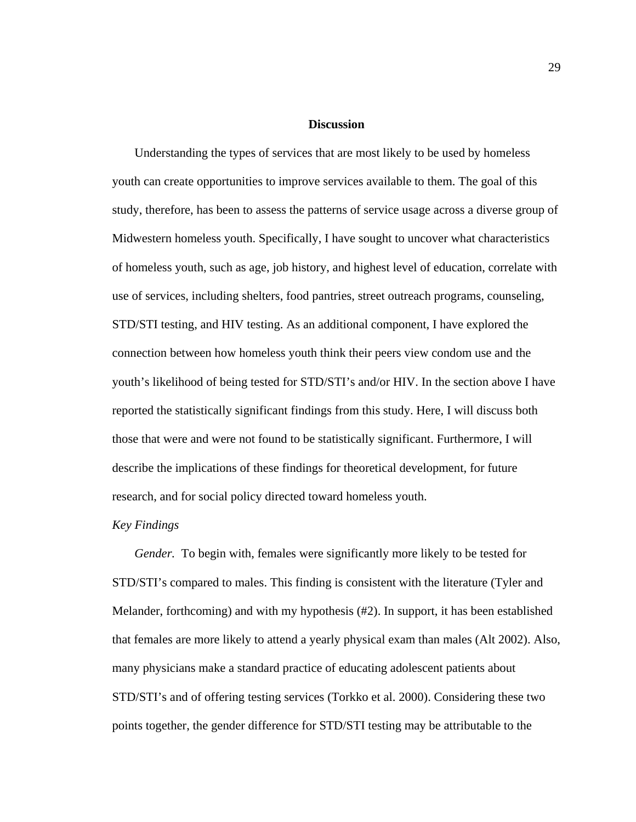#### **Discussion**

Understanding the types of services that are most likely to be used by homeless youth can create opportunities to improve services available to them. The goal of this study, therefore, has been to assess the patterns of service usage across a diverse group of Midwestern homeless youth. Specifically, I have sought to uncover what characteristics of homeless youth, such as age, job history, and highest level of education, correlate with use of services, including shelters, food pantries, street outreach programs, counseling, STD/STI testing, and HIV testing. As an additional component, I have explored the connection between how homeless youth think their peers view condom use and the youth's likelihood of being tested for STD/STI's and/or HIV. In the section above I have reported the statistically significant findings from this study. Here, I will discuss both those that were and were not found to be statistically significant. Furthermore, I will describe the implications of these findings for theoretical development, for future research, and for social policy directed toward homeless youth.

## *Key Findings*

*Gender.* To begin with, females were significantly more likely to be tested for STD/STI's compared to males. This finding is consistent with the literature (Tyler and Melander, forthcoming) and with my hypothesis (#2). In support, it has been established that females are more likely to attend a yearly physical exam than males (Alt 2002). Also, many physicians make a standard practice of educating adolescent patients about STD/STI's and of offering testing services (Torkko et al. 2000). Considering these two points together, the gender difference for STD/STI testing may be attributable to the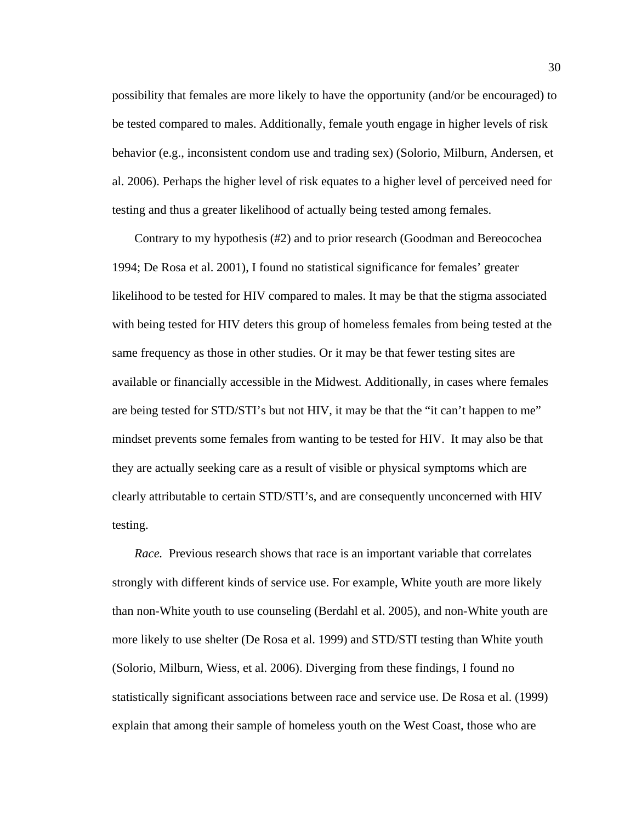possibility that females are more likely to have the opportunity (and/or be encouraged) to be tested compared to males. Additionally, female youth engage in higher levels of risk behavior (e.g., inconsistent condom use and trading sex) (Solorio, Milburn, Andersen, et al. 2006). Perhaps the higher level of risk equates to a higher level of perceived need for testing and thus a greater likelihood of actually being tested among females.

Contrary to my hypothesis (#2) and to prior research (Goodman and Bereocochea 1994; De Rosa et al. 2001), I found no statistical significance for females' greater likelihood to be tested for HIV compared to males. It may be that the stigma associated with being tested for HIV deters this group of homeless females from being tested at the same frequency as those in other studies. Or it may be that fewer testing sites are available or financially accessible in the Midwest. Additionally, in cases where females are being tested for STD/STI's but not HIV, it may be that the "it can't happen to me" mindset prevents some females from wanting to be tested for HIV. It may also be that they are actually seeking care as a result of visible or physical symptoms which are clearly attributable to certain STD/STI's, and are consequently unconcerned with HIV testing.

*Race.* Previous research shows that race is an important variable that correlates strongly with different kinds of service use. For example, White youth are more likely than non-White youth to use counseling (Berdahl et al. 2005), and non-White youth are more likely to use shelter (De Rosa et al. 1999) and STD/STI testing than White youth (Solorio, Milburn, Wiess, et al. 2006). Diverging from these findings, I found no statistically significant associations between race and service use. De Rosa et al. (1999) explain that among their sample of homeless youth on the West Coast, those who are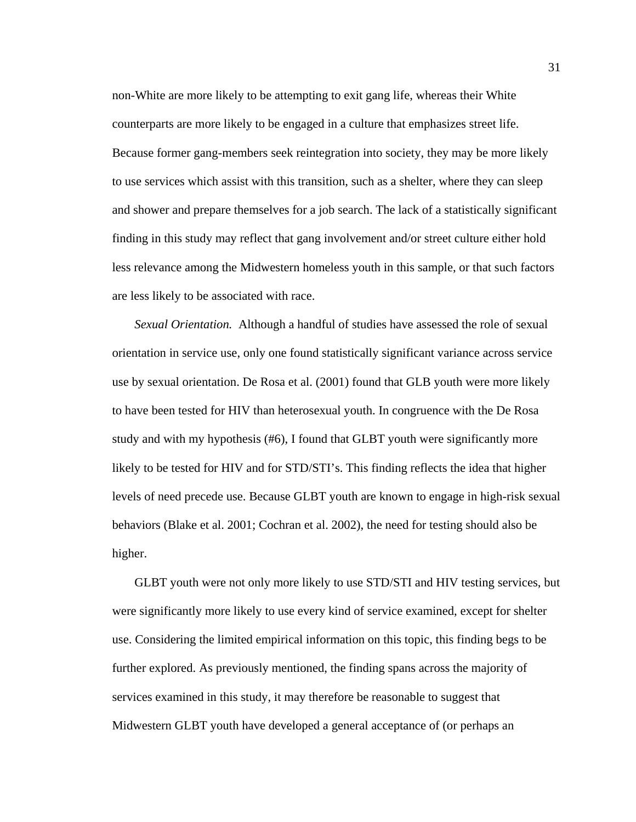non-White are more likely to be attempting to exit gang life, whereas their White counterparts are more likely to be engaged in a culture that emphasizes street life. Because former gang-members seek reintegration into society, they may be more likely to use services which assist with this transition, such as a shelter, where they can sleep and shower and prepare themselves for a job search. The lack of a statistically significant finding in this study may reflect that gang involvement and/or street culture either hold less relevance among the Midwestern homeless youth in this sample, or that such factors are less likely to be associated with race.

*Sexual Orientation.* Although a handful of studies have assessed the role of sexual orientation in service use, only one found statistically significant variance across service use by sexual orientation. De Rosa et al. (2001) found that GLB youth were more likely to have been tested for HIV than heterosexual youth. In congruence with the De Rosa study and with my hypothesis (#6), I found that GLBT youth were significantly more likely to be tested for HIV and for STD/STI's. This finding reflects the idea that higher levels of need precede use. Because GLBT youth are known to engage in high-risk sexual behaviors (Blake et al. 2001; Cochran et al. 2002), the need for testing should also be higher.

GLBT youth were not only more likely to use STD/STI and HIV testing services, but were significantly more likely to use every kind of service examined, except for shelter use. Considering the limited empirical information on this topic, this finding begs to be further explored. As previously mentioned, the finding spans across the majority of services examined in this study, it may therefore be reasonable to suggest that Midwestern GLBT youth have developed a general acceptance of (or perhaps an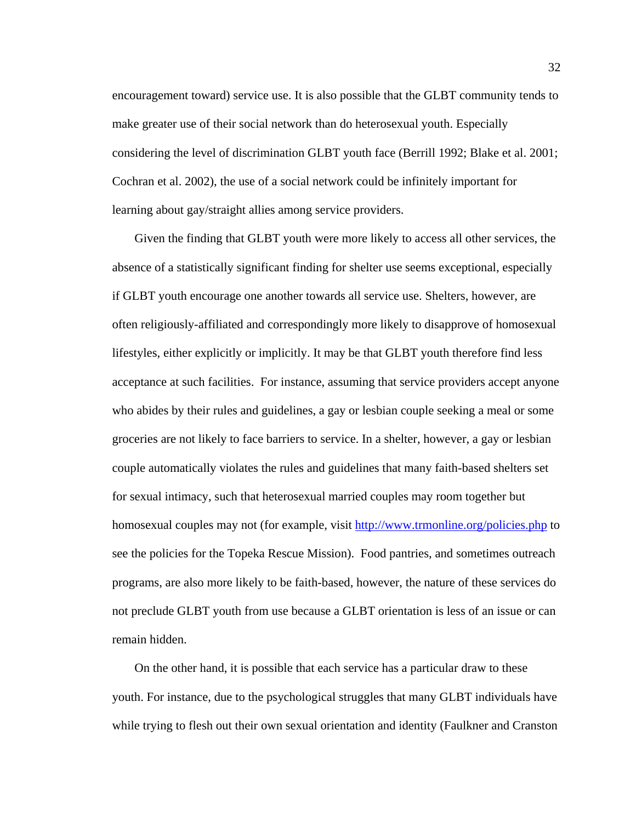encouragement toward) service use. It is also possible that the GLBT community tends to make greater use of their social network than do heterosexual youth. Especially considering the level of discrimination GLBT youth face (Berrill 1992; Blake et al. 2001; Cochran et al. 2002), the use of a social network could be infinitely important for learning about gay/straight allies among service providers.

Given the finding that GLBT youth were more likely to access all other services, the absence of a statistically significant finding for shelter use seems exceptional, especially if GLBT youth encourage one another towards all service use. Shelters, however, are often religiously-affiliated and correspondingly more likely to disapprove of homosexual lifestyles, either explicitly or implicitly. It may be that GLBT youth therefore find less acceptance at such facilities. For instance, assuming that service providers accept anyone who abides by their rules and guidelines, a gay or lesbian couple seeking a meal or some groceries are not likely to face barriers to service. In a shelter, however, a gay or lesbian couple automatically violates the rules and guidelines that many faith-based shelters set for sexual intimacy, such that heterosexual married couples may room together but homosexual couples may not (for example, visit<http://www.trmonline.org/policies.php>to see the policies for the Topeka Rescue Mission). Food pantries, and sometimes outreach programs, are also more likely to be faith-based, however, the nature of these services do not preclude GLBT youth from use because a GLBT orientation is less of an issue or can remain hidden.

On the other hand, it is possible that each service has a particular draw to these youth. For instance, due to the psychological struggles that many GLBT individuals have while trying to flesh out their own sexual orientation and identity (Faulkner and Cranston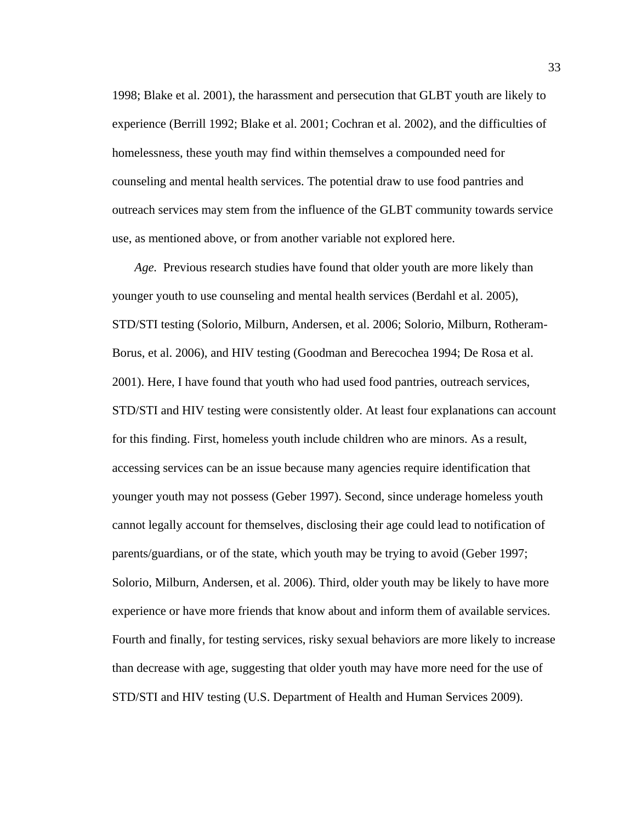1998; Blake et al. 2001), the harassment and persecution that GLBT youth are likely to experience (Berrill 1992; Blake et al. 2001; Cochran et al. 2002), and the difficulties of homelessness, these youth may find within themselves a compounded need for counseling and mental health services. The potential draw to use food pantries and outreach services may stem from the influence of the GLBT community towards service use, as mentioned above, or from another variable not explored here.

*Age.* Previous research studies have found that older youth are more likely than younger youth to use counseling and mental health services (Berdahl et al. 2005), STD/STI testing (Solorio, Milburn, Andersen, et al. 2006; Solorio, Milburn, Rotheram-Borus, et al. 2006), and HIV testing (Goodman and Berecochea 1994; De Rosa et al. 2001). Here, I have found that youth who had used food pantries, outreach services, STD/STI and HIV testing were consistently older. At least four explanations can account for this finding. First, homeless youth include children who are minors. As a result, accessing services can be an issue because many agencies require identification that younger youth may not possess (Geber 1997). Second, since underage homeless youth cannot legally account for themselves, disclosing their age could lead to notification of parents/guardians, or of the state, which youth may be trying to avoid (Geber 1997; Solorio, Milburn, Andersen, et al. 2006). Third, older youth may be likely to have more experience or have more friends that know about and inform them of available services. Fourth and finally, for testing services, risky sexual behaviors are more likely to increase than decrease with age, suggesting that older youth may have more need for the use of STD/STI and HIV testing (U.S. Department of Health and Human Services 2009).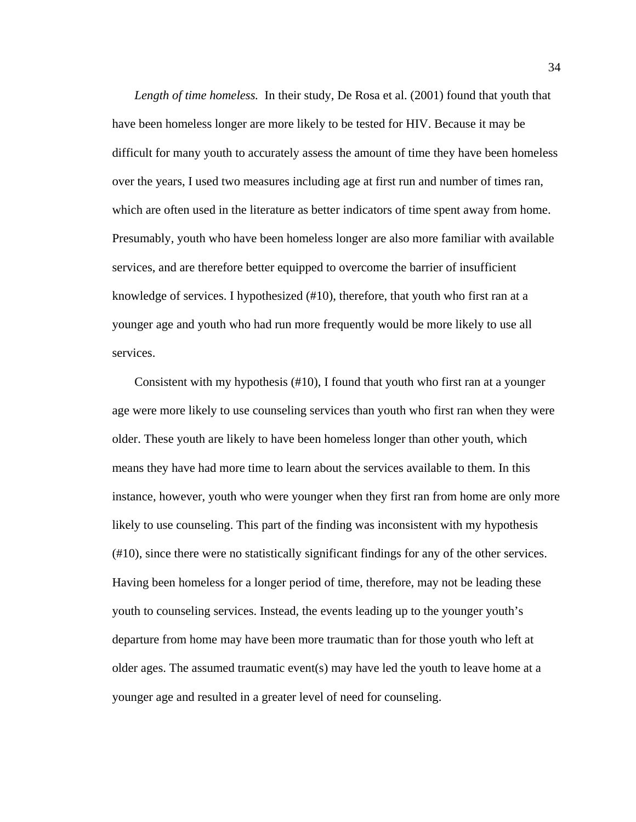*Length of time homeless.* In their study, De Rosa et al. (2001) found that youth that have been homeless longer are more likely to be tested for HIV. Because it may be difficult for many youth to accurately assess the amount of time they have been homeless over the years, I used two measures including age at first run and number of times ran, which are often used in the literature as better indicators of time spent away from home. Presumably, youth who have been homeless longer are also more familiar with available services, and are therefore better equipped to overcome the barrier of insufficient knowledge of services. I hypothesized (#10), therefore, that youth who first ran at a younger age and youth who had run more frequently would be more likely to use all services.

Consistent with my hypothesis (#10), I found that youth who first ran at a younger age were more likely to use counseling services than youth who first ran when they were older. These youth are likely to have been homeless longer than other youth, which means they have had more time to learn about the services available to them. In this instance, however, youth who were younger when they first ran from home are only more likely to use counseling. This part of the finding was inconsistent with my hypothesis (#10), since there were no statistically significant findings for any of the other services. Having been homeless for a longer period of time, therefore, may not be leading these youth to counseling services. Instead, the events leading up to the younger youth's departure from home may have been more traumatic than for those youth who left at older ages. The assumed traumatic event(s) may have led the youth to leave home at a younger age and resulted in a greater level of need for counseling.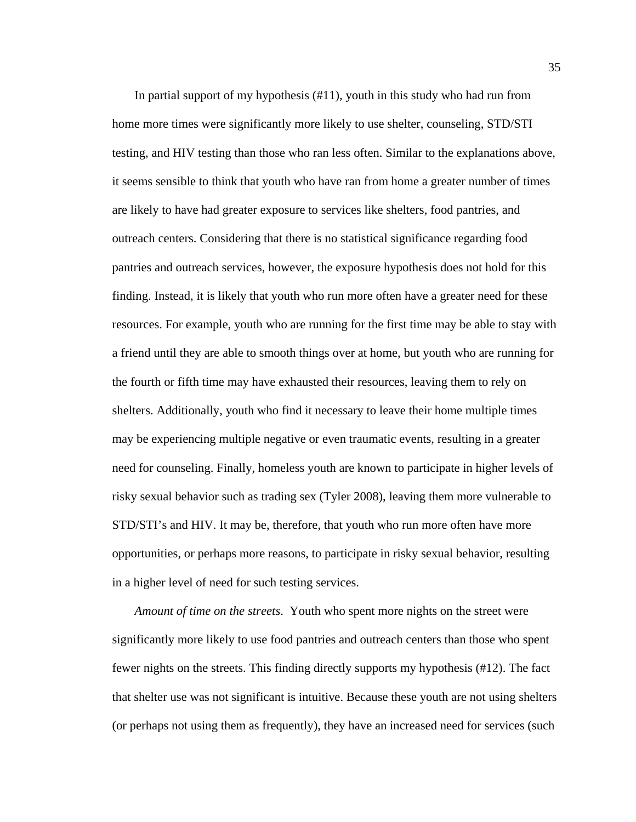In partial support of my hypothesis (#11), youth in this study who had run from home more times were significantly more likely to use shelter, counseling, STD/STI testing, and HIV testing than those who ran less often. Similar to the explanations above, it seems sensible to think that youth who have ran from home a greater number of times are likely to have had greater exposure to services like shelters, food pantries, and outreach centers. Considering that there is no statistical significance regarding food pantries and outreach services, however, the exposure hypothesis does not hold for this finding. Instead, it is likely that youth who run more often have a greater need for these resources. For example, youth who are running for the first time may be able to stay with a friend until they are able to smooth things over at home, but youth who are running for the fourth or fifth time may have exhausted their resources, leaving them to rely on shelters. Additionally, youth who find it necessary to leave their home multiple times may be experiencing multiple negative or even traumatic events, resulting in a greater need for counseling. Finally, homeless youth are known to participate in higher levels of risky sexual behavior such as trading sex (Tyler 2008), leaving them more vulnerable to STD/STI's and HIV. It may be, therefore, that youth who run more often have more opportunities, or perhaps more reasons, to participate in risky sexual behavior, resulting in a higher level of need for such testing services.

*Amount of time on the streets*. Youth who spent more nights on the street were significantly more likely to use food pantries and outreach centers than those who spent fewer nights on the streets. This finding directly supports my hypothesis (#12). The fact that shelter use was not significant is intuitive. Because these youth are not using shelters (or perhaps not using them as frequently), they have an increased need for services (such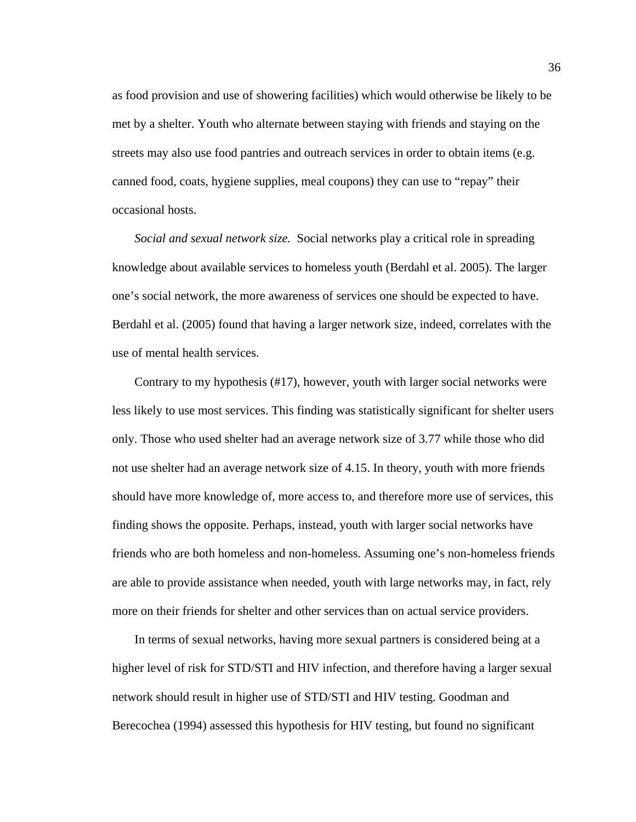as food provision and use of showering facilities) which would otherwise be likely to be met by a shelter. Youth who alternate between staying with friends and staying on the streets may also use food pantries and outreach services in order to obtain items (e.g. canned food, coats, hygiene supplies, meal coupons) they can use to "repay" their occasional hosts.

*Social and sexual network size.* Social networks play a critical role in spreading knowledge about available services to homeless youth (Berdahl et al. 2005). The larger one's social network, the more awareness of services one should be expected to have. Berdahl et al. (2005) found that having a larger network size, indeed, correlates with the use of mental health services.

Contrary to my hypothesis (#17), however, youth with larger social networks were less likely to use most services. This finding was statistically significant for shelter users only. Those who used shelter had an average network size of 3.77 while those who did not use shelter had an average network size of 4.15. In theory, youth with more friends should have more knowledge of, more access to, and therefore more use of services, this finding shows the opposite. Perhaps, instead, youth with larger social networks have friends who are both homeless and non-homeless. Assuming one's non-homeless friends are able to provide assistance when needed, youth with large networks may, in fact, rely more on their friends for shelter and other services than on actual service providers.

In terms of sexual networks, having more sexual partners is considered being at a higher level of risk for STD/STI and HIV infection, and therefore having a larger sexual network should result in higher use of STD/STI and HIV testing. Goodman and Berecochea (1994) assessed this hypothesis for HIV testing, but found no significant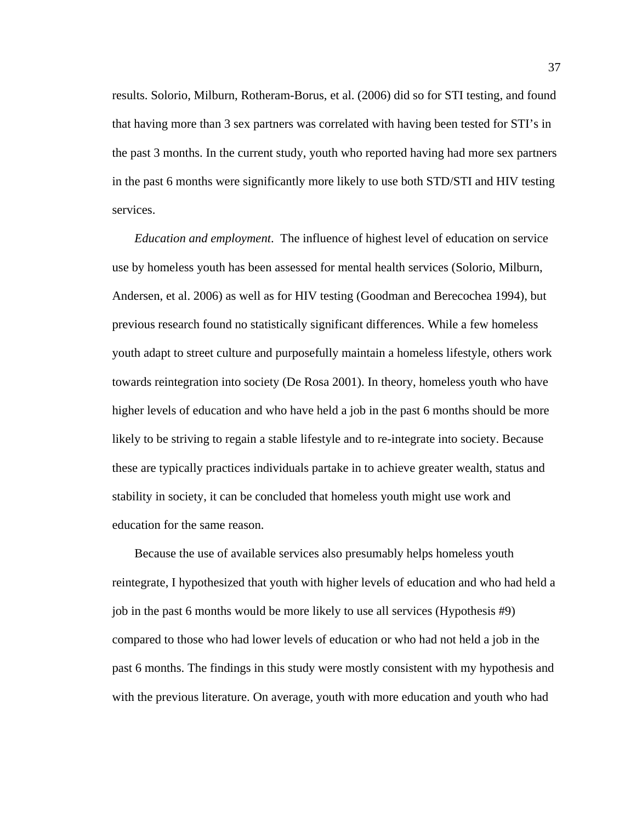results. Solorio, Milburn, Rotheram-Borus, et al. (2006) did so for STI testing, and found that having more than 3 sex partners was correlated with having been tested for STI's in the past 3 months. In the current study, youth who reported having had more sex partners in the past 6 months were significantly more likely to use both STD/STI and HIV testing services.

*Education and employment*. The influence of highest level of education on service use by homeless youth has been assessed for mental health services (Solorio, Milburn, Andersen, et al. 2006) as well as for HIV testing (Goodman and Berecochea 1994), but previous research found no statistically significant differences. While a few homeless youth adapt to street culture and purposefully maintain a homeless lifestyle, others work towards reintegration into society (De Rosa 2001). In theory, homeless youth who have higher levels of education and who have held a job in the past 6 months should be more likely to be striving to regain a stable lifestyle and to re-integrate into society. Because these are typically practices individuals partake in to achieve greater wealth, status and stability in society, it can be concluded that homeless youth might use work and education for the same reason.

Because the use of available services also presumably helps homeless youth reintegrate, I hypothesized that youth with higher levels of education and who had held a job in the past 6 months would be more likely to use all services (Hypothesis #9) compared to those who had lower levels of education or who had not held a job in the past 6 months. The findings in this study were mostly consistent with my hypothesis and with the previous literature. On average, youth with more education and youth who had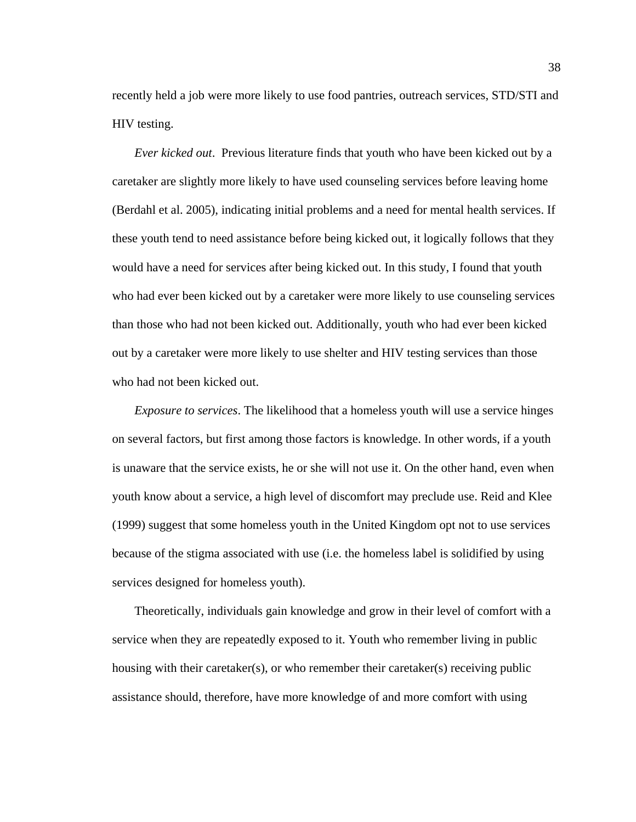recently held a job were more likely to use food pantries, outreach services, STD/STI and HIV testing.

*Ever kicked out*. Previous literature finds that youth who have been kicked out by a caretaker are slightly more likely to have used counseling services before leaving home (Berdahl et al. 2005), indicating initial problems and a need for mental health services. If these youth tend to need assistance before being kicked out, it logically follows that they would have a need for services after being kicked out. In this study, I found that youth who had ever been kicked out by a caretaker were more likely to use counseling services than those who had not been kicked out. Additionally, youth who had ever been kicked out by a caretaker were more likely to use shelter and HIV testing services than those who had not been kicked out.

*Exposure to services*. The likelihood that a homeless youth will use a service hinges on several factors, but first among those factors is knowledge. In other words, if a youth is unaware that the service exists, he or she will not use it. On the other hand, even when youth know about a service, a high level of discomfort may preclude use. Reid and Klee (1999) suggest that some homeless youth in the United Kingdom opt not to use services because of the stigma associated with use (i.e. the homeless label is solidified by using services designed for homeless youth).

Theoretically, individuals gain knowledge and grow in their level of comfort with a service when they are repeatedly exposed to it. Youth who remember living in public housing with their caretaker(s), or who remember their caretaker(s) receiving public assistance should, therefore, have more knowledge of and more comfort with using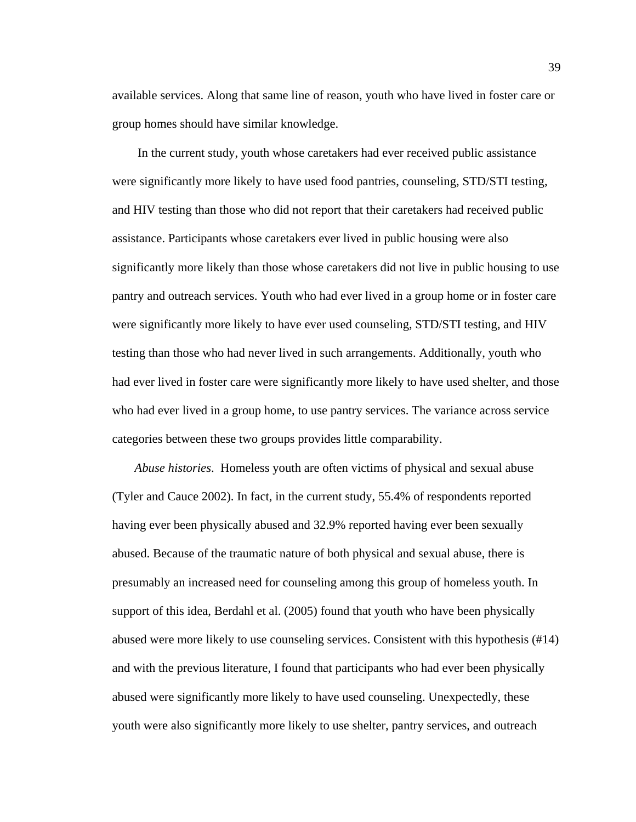available services. Along that same line of reason, youth who have lived in foster care or group homes should have similar knowledge.

 In the current study, youth whose caretakers had ever received public assistance were significantly more likely to have used food pantries, counseling, STD/STI testing, and HIV testing than those who did not report that their caretakers had received public assistance. Participants whose caretakers ever lived in public housing were also significantly more likely than those whose caretakers did not live in public housing to use pantry and outreach services. Youth who had ever lived in a group home or in foster care were significantly more likely to have ever used counseling, STD/STI testing, and HIV testing than those who had never lived in such arrangements. Additionally, youth who had ever lived in foster care were significantly more likely to have used shelter, and those who had ever lived in a group home, to use pantry services. The variance across service categories between these two groups provides little comparability.

*Abuse histories*. Homeless youth are often victims of physical and sexual abuse (Tyler and Cauce 2002). In fact, in the current study, 55.4% of respondents reported having ever been physically abused and 32.9% reported having ever been sexually abused. Because of the traumatic nature of both physical and sexual abuse, there is presumably an increased need for counseling among this group of homeless youth. In support of this idea, Berdahl et al. (2005) found that youth who have been physically abused were more likely to use counseling services. Consistent with this hypothesis (#14) and with the previous literature, I found that participants who had ever been physically abused were significantly more likely to have used counseling. Unexpectedly, these youth were also significantly more likely to use shelter, pantry services, and outreach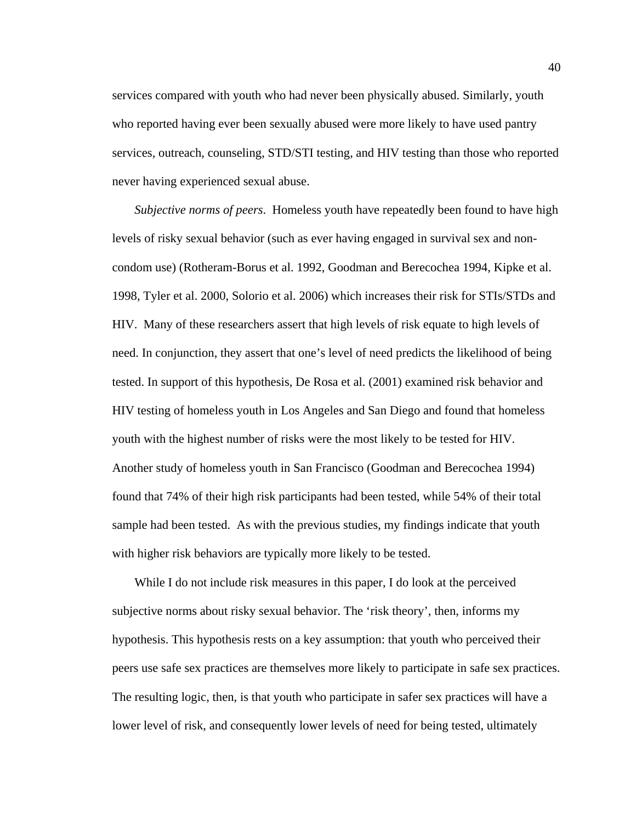services compared with youth who had never been physically abused. Similarly, youth who reported having ever been sexually abused were more likely to have used pantry services, outreach, counseling, STD/STI testing, and HIV testing than those who reported never having experienced sexual abuse.

*Subjective norms of peers*. Homeless youth have repeatedly been found to have high levels of risky sexual behavior (such as ever having engaged in survival sex and noncondom use) (Rotheram-Borus et al. 1992, Goodman and Berecochea 1994, Kipke et al. 1998, Tyler et al. 2000, Solorio et al. 2006) which increases their risk for STIs/STDs and HIV. Many of these researchers assert that high levels of risk equate to high levels of need. In conjunction, they assert that one's level of need predicts the likelihood of being tested. In support of this hypothesis, De Rosa et al. (2001) examined risk behavior and HIV testing of homeless youth in Los Angeles and San Diego and found that homeless youth with the highest number of risks were the most likely to be tested for HIV. Another study of homeless youth in San Francisco (Goodman and Berecochea 1994) found that 74% of their high risk participants had been tested, while 54% of their total sample had been tested. As with the previous studies, my findings indicate that youth with higher risk behaviors are typically more likely to be tested.

While I do not include risk measures in this paper, I do look at the perceived subjective norms about risky sexual behavior. The 'risk theory', then, informs my hypothesis. This hypothesis rests on a key assumption: that youth who perceived their peers use safe sex practices are themselves more likely to participate in safe sex practices. The resulting logic, then, is that youth who participate in safer sex practices will have a lower level of risk, and consequently lower levels of need for being tested, ultimately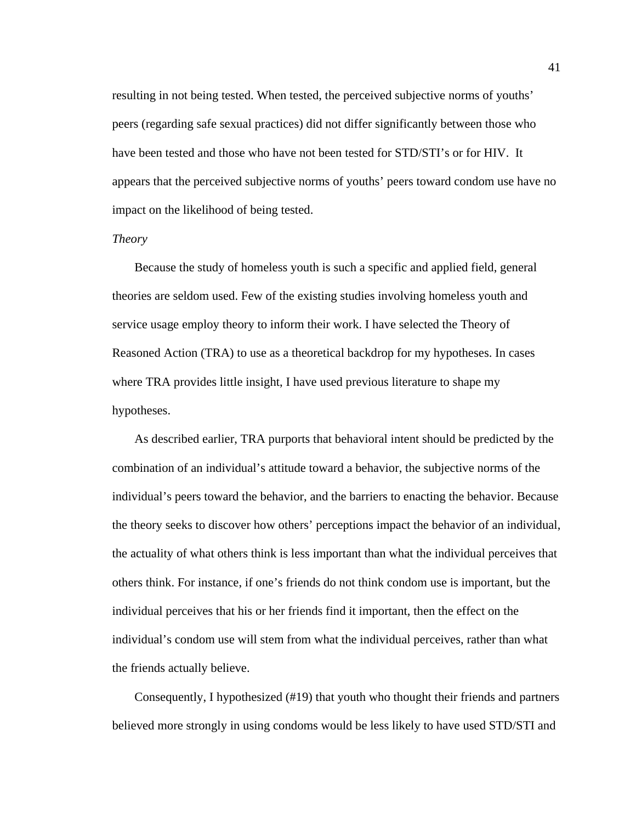resulting in not being tested. When tested, the perceived subjective norms of youths' peers (regarding safe sexual practices) did not differ significantly between those who have been tested and those who have not been tested for STD/STI's or for HIV. It appears that the perceived subjective norms of youths' peers toward condom use have no impact on the likelihood of being tested.

#### *Theory*

Because the study of homeless youth is such a specific and applied field, general theories are seldom used. Few of the existing studies involving homeless youth and service usage employ theory to inform their work. I have selected the Theory of Reasoned Action (TRA) to use as a theoretical backdrop for my hypotheses. In cases where TRA provides little insight, I have used previous literature to shape my hypotheses.

As described earlier, TRA purports that behavioral intent should be predicted by the combination of an individual's attitude toward a behavior, the subjective norms of the individual's peers toward the behavior, and the barriers to enacting the behavior. Because the theory seeks to discover how others' perceptions impact the behavior of an individual, the actuality of what others think is less important than what the individual perceives that others think. For instance, if one's friends do not think condom use is important, but the individual perceives that his or her friends find it important, then the effect on the individual's condom use will stem from what the individual perceives, rather than what the friends actually believe.

Consequently, I hypothesized (#19) that youth who thought their friends and partners believed more strongly in using condoms would be less likely to have used STD/STI and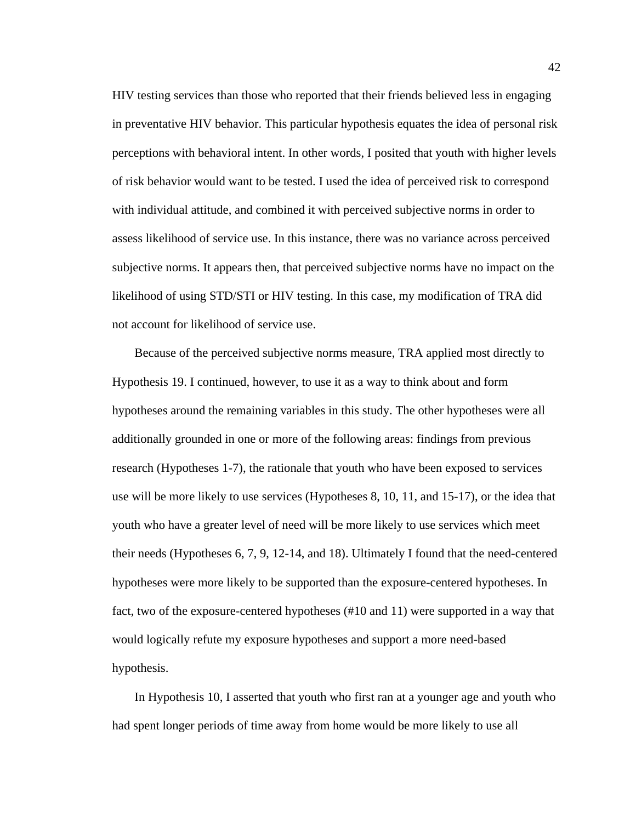HIV testing services than those who reported that their friends believed less in engaging in preventative HIV behavior. This particular hypothesis equates the idea of personal risk perceptions with behavioral intent. In other words, I posited that youth with higher levels of risk behavior would want to be tested. I used the idea of perceived risk to correspond with individual attitude, and combined it with perceived subjective norms in order to assess likelihood of service use. In this instance, there was no variance across perceived subjective norms. It appears then, that perceived subjective norms have no impact on the likelihood of using STD/STI or HIV testing. In this case, my modification of TRA did not account for likelihood of service use.

Because of the perceived subjective norms measure, TRA applied most directly to Hypothesis 19. I continued, however, to use it as a way to think about and form hypotheses around the remaining variables in this study. The other hypotheses were all additionally grounded in one or more of the following areas: findings from previous research (Hypotheses 1-7), the rationale that youth who have been exposed to services use will be more likely to use services (Hypotheses 8, 10, 11, and 15-17), or the idea that youth who have a greater level of need will be more likely to use services which meet their needs (Hypotheses 6, 7, 9, 12-14, and 18). Ultimately I found that the need-centered hypotheses were more likely to be supported than the exposure-centered hypotheses. In fact, two of the exposure-centered hypotheses (#10 and 11) were supported in a way that would logically refute my exposure hypotheses and support a more need-based hypothesis.

In Hypothesis 10, I asserted that youth who first ran at a younger age and youth who had spent longer periods of time away from home would be more likely to use all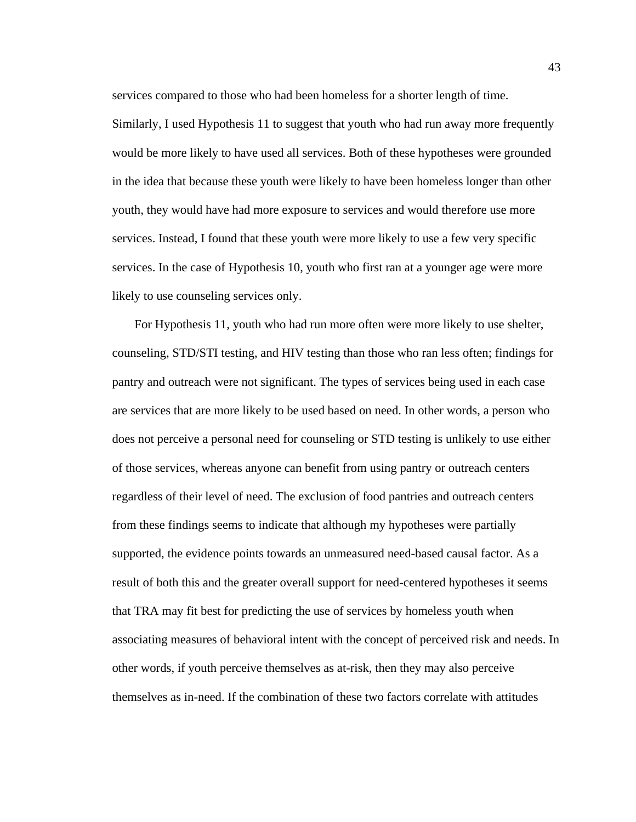services compared to those who had been homeless for a shorter length of time.

Similarly, I used Hypothesis 11 to suggest that youth who had run away more frequently would be more likely to have used all services. Both of these hypotheses were grounded in the idea that because these youth were likely to have been homeless longer than other youth, they would have had more exposure to services and would therefore use more services. Instead, I found that these youth were more likely to use a few very specific services. In the case of Hypothesis 10, youth who first ran at a younger age were more likely to use counseling services only.

For Hypothesis 11, youth who had run more often were more likely to use shelter, counseling, STD/STI testing, and HIV testing than those who ran less often; findings for pantry and outreach were not significant. The types of services being used in each case are services that are more likely to be used based on need. In other words, a person who does not perceive a personal need for counseling or STD testing is unlikely to use either of those services, whereas anyone can benefit from using pantry or outreach centers regardless of their level of need. The exclusion of food pantries and outreach centers from these findings seems to indicate that although my hypotheses were partially supported, the evidence points towards an unmeasured need-based causal factor. As a result of both this and the greater overall support for need-centered hypotheses it seems that TRA may fit best for predicting the use of services by homeless youth when associating measures of behavioral intent with the concept of perceived risk and needs. In other words, if youth perceive themselves as at-risk, then they may also perceive themselves as in-need. If the combination of these two factors correlate with attitudes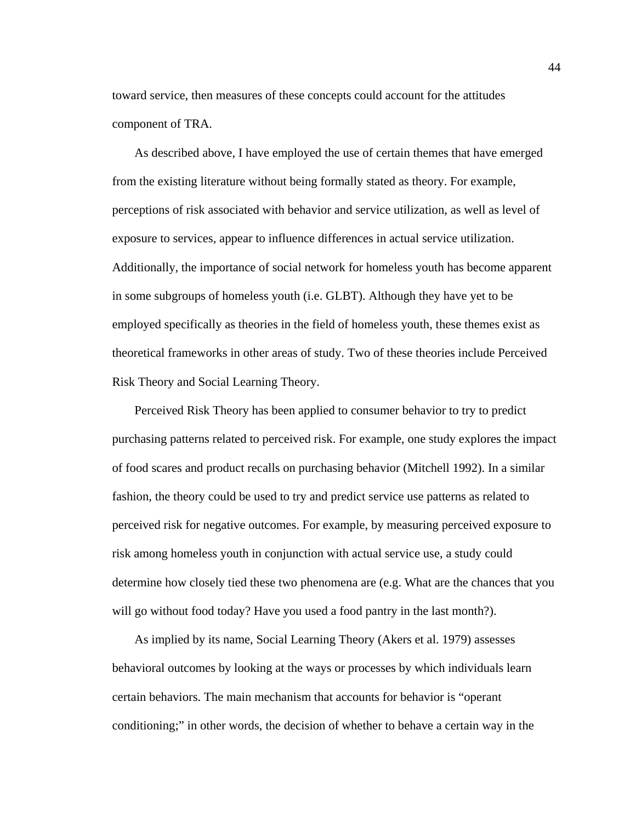toward service, then measures of these concepts could account for the attitudes component of TRA.

As described above, I have employed the use of certain themes that have emerged from the existing literature without being formally stated as theory. For example, perceptions of risk associated with behavior and service utilization, as well as level of exposure to services, appear to influence differences in actual service utilization. Additionally, the importance of social network for homeless youth has become apparent in some subgroups of homeless youth (i.e. GLBT). Although they have yet to be employed specifically as theories in the field of homeless youth, these themes exist as theoretical frameworks in other areas of study. Two of these theories include Perceived Risk Theory and Social Learning Theory.

Perceived Risk Theory has been applied to consumer behavior to try to predict purchasing patterns related to perceived risk. For example, one study explores the impact of food scares and product recalls on purchasing behavior (Mitchell 1992). In a similar fashion, the theory could be used to try and predict service use patterns as related to perceived risk for negative outcomes. For example, by measuring perceived exposure to risk among homeless youth in conjunction with actual service use, a study could determine how closely tied these two phenomena are (e.g. What are the chances that you will go without food today? Have you used a food pantry in the last month?).

As implied by its name, Social Learning Theory (Akers et al. 1979) assesses behavioral outcomes by looking at the ways or processes by which individuals learn certain behaviors. The main mechanism that accounts for behavior is "operant conditioning;" in other words, the decision of whether to behave a certain way in the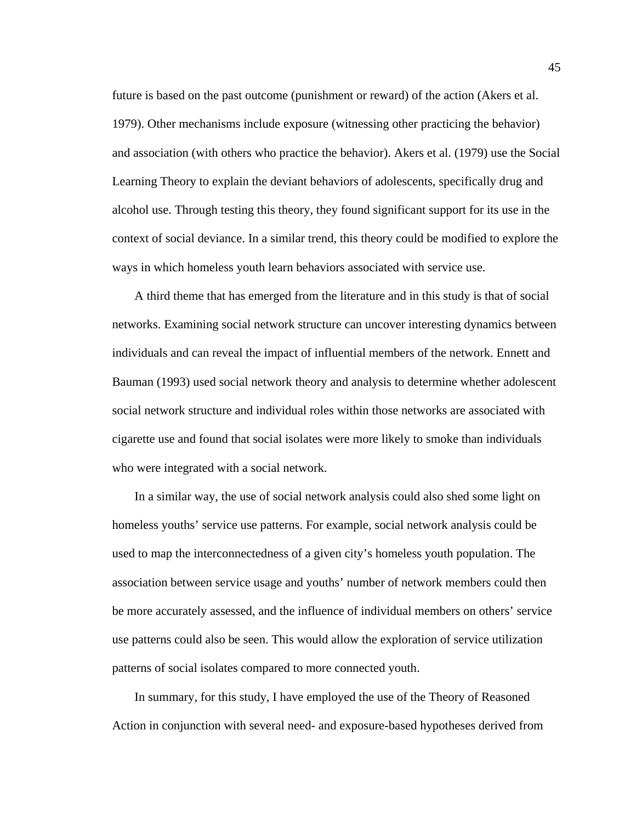future is based on the past outcome (punishment or reward) of the action (Akers et al. 1979). Other mechanisms include exposure (witnessing other practicing the behavior) and association (with others who practice the behavior). Akers et al. (1979) use the Social Learning Theory to explain the deviant behaviors of adolescents, specifically drug and alcohol use. Through testing this theory, they found significant support for its use in the context of social deviance. In a similar trend, this theory could be modified to explore the ways in which homeless youth learn behaviors associated with service use.

A third theme that has emerged from the literature and in this study is that of social networks. Examining social network structure can uncover interesting dynamics between individuals and can reveal the impact of influential members of the network. Ennett and Bauman (1993) used social network theory and analysis to determine whether adolescent social network structure and individual roles within those networks are associated with cigarette use and found that social isolates were more likely to smoke than individuals who were integrated with a social network.

In a similar way, the use of social network analysis could also shed some light on homeless youths' service use patterns. For example, social network analysis could be used to map the interconnectedness of a given city's homeless youth population. The association between service usage and youths' number of network members could then be more accurately assessed, and the influence of individual members on others' service use patterns could also be seen. This would allow the exploration of service utilization patterns of social isolates compared to more connected youth.

In summary, for this study, I have employed the use of the Theory of Reasoned Action in conjunction with several need- and exposure-based hypotheses derived from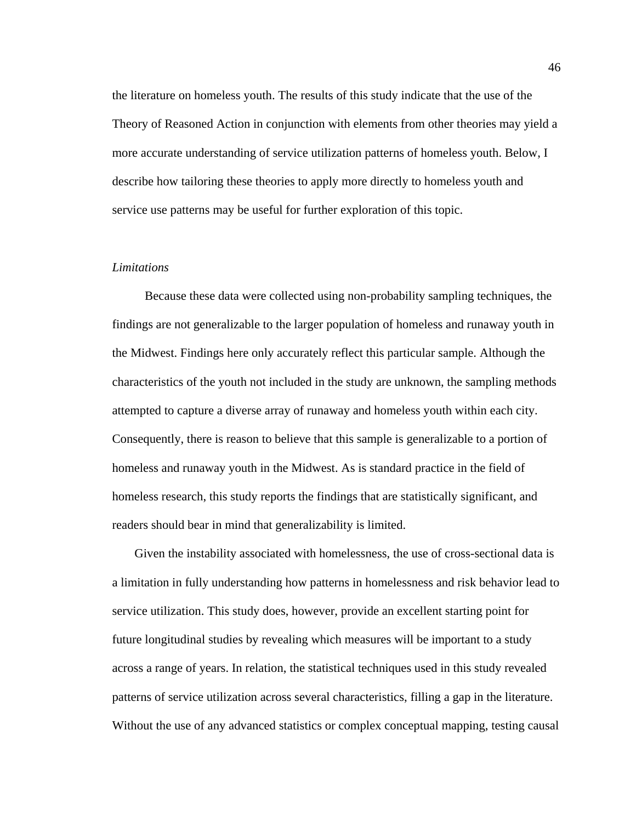the literature on homeless youth. The results of this study indicate that the use of the Theory of Reasoned Action in conjunction with elements from other theories may yield a more accurate understanding of service utilization patterns of homeless youth. Below, I describe how tailoring these theories to apply more directly to homeless youth and service use patterns may be useful for further exploration of this topic.

#### *Limitations*

Because these data were collected using non-probability sampling techniques, the findings are not generalizable to the larger population of homeless and runaway youth in the Midwest. Findings here only accurately reflect this particular sample. Although the characteristics of the youth not included in the study are unknown, the sampling methods attempted to capture a diverse array of runaway and homeless youth within each city. Consequently, there is reason to believe that this sample is generalizable to a portion of homeless and runaway youth in the Midwest. As is standard practice in the field of homeless research, this study reports the findings that are statistically significant, and readers should bear in mind that generalizability is limited.

Given the instability associated with homelessness, the use of cross-sectional data is a limitation in fully understanding how patterns in homelessness and risk behavior lead to service utilization. This study does, however, provide an excellent starting point for future longitudinal studies by revealing which measures will be important to a study across a range of years. In relation, the statistical techniques used in this study revealed patterns of service utilization across several characteristics, filling a gap in the literature. Without the use of any advanced statistics or complex conceptual mapping, testing causal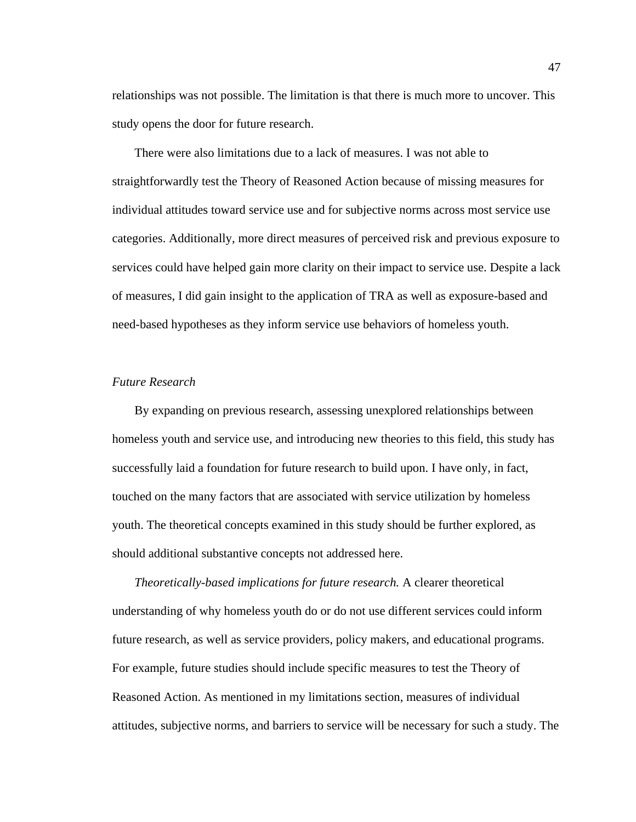relationships was not possible. The limitation is that there is much more to uncover. This study opens the door for future research.

There were also limitations due to a lack of measures. I was not able to straightforwardly test the Theory of Reasoned Action because of missing measures for individual attitudes toward service use and for subjective norms across most service use categories. Additionally, more direct measures of perceived risk and previous exposure to services could have helped gain more clarity on their impact to service use. Despite a lack of measures, I did gain insight to the application of TRA as well as exposure-based and need-based hypotheses as they inform service use behaviors of homeless youth.

## *Future Research*

By expanding on previous research, assessing unexplored relationships between homeless youth and service use, and introducing new theories to this field, this study has successfully laid a foundation for future research to build upon. I have only, in fact, touched on the many factors that are associated with service utilization by homeless youth. The theoretical concepts examined in this study should be further explored, as should additional substantive concepts not addressed here.

*Theoretically-based implications for future research.* A clearer theoretical understanding of why homeless youth do or do not use different services could inform future research, as well as service providers, policy makers, and educational programs. For example, future studies should include specific measures to test the Theory of Reasoned Action. As mentioned in my limitations section, measures of individual attitudes, subjective norms, and barriers to service will be necessary for such a study. The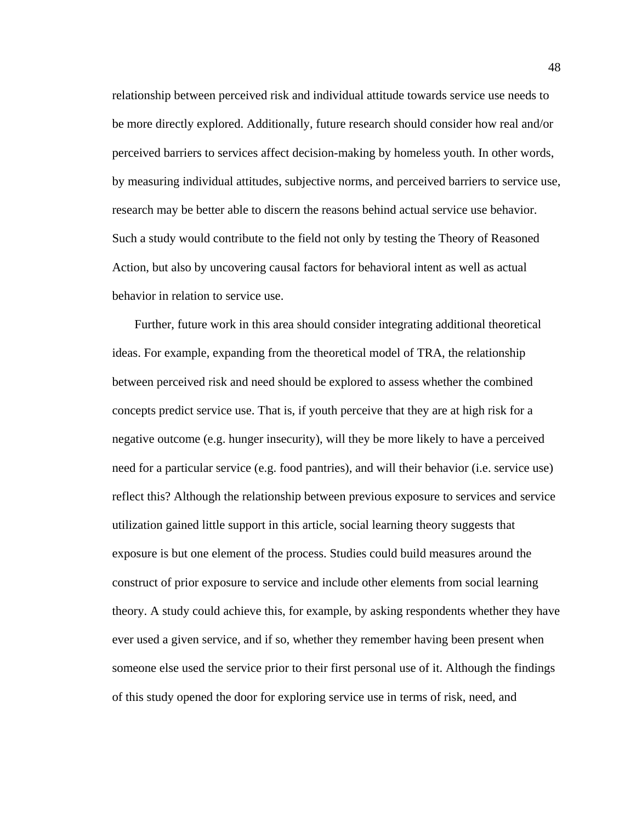relationship between perceived risk and individual attitude towards service use needs to be more directly explored. Additionally, future research should consider how real and/or perceived barriers to services affect decision-making by homeless youth. In other words, by measuring individual attitudes, subjective norms, and perceived barriers to service use, research may be better able to discern the reasons behind actual service use behavior. Such a study would contribute to the field not only by testing the Theory of Reasoned Action, but also by uncovering causal factors for behavioral intent as well as actual behavior in relation to service use.

Further, future work in this area should consider integrating additional theoretical ideas. For example, expanding from the theoretical model of TRA, the relationship between perceived risk and need should be explored to assess whether the combined concepts predict service use. That is, if youth perceive that they are at high risk for a negative outcome (e.g. hunger insecurity), will they be more likely to have a perceived need for a particular service (e.g. food pantries), and will their behavior (i.e. service use) reflect this? Although the relationship between previous exposure to services and service utilization gained little support in this article, social learning theory suggests that exposure is but one element of the process. Studies could build measures around the construct of prior exposure to service and include other elements from social learning theory. A study could achieve this, for example, by asking respondents whether they have ever used a given service, and if so, whether they remember having been present when someone else used the service prior to their first personal use of it. Although the findings of this study opened the door for exploring service use in terms of risk, need, and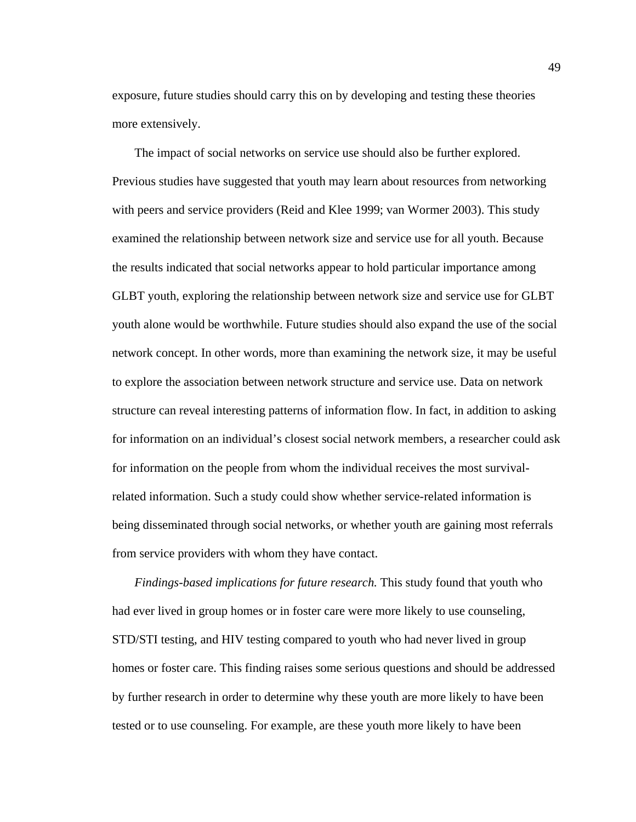exposure, future studies should carry this on by developing and testing these theories more extensively.

The impact of social networks on service use should also be further explored. Previous studies have suggested that youth may learn about resources from networking with peers and service providers (Reid and Klee 1999; van Wormer 2003). This study examined the relationship between network size and service use for all youth. Because the results indicated that social networks appear to hold particular importance among GLBT youth, exploring the relationship between network size and service use for GLBT youth alone would be worthwhile. Future studies should also expand the use of the social network concept. In other words, more than examining the network size, it may be useful to explore the association between network structure and service use. Data on network structure can reveal interesting patterns of information flow. In fact, in addition to asking for information on an individual's closest social network members, a researcher could ask for information on the people from whom the individual receives the most survivalrelated information. Such a study could show whether service-related information is being disseminated through social networks, or whether youth are gaining most referrals from service providers with whom they have contact.

*Findings-based implications for future research.* This study found that youth who had ever lived in group homes or in foster care were more likely to use counseling, STD/STI testing, and HIV testing compared to youth who had never lived in group homes or foster care. This finding raises some serious questions and should be addressed by further research in order to determine why these youth are more likely to have been tested or to use counseling. For example, are these youth more likely to have been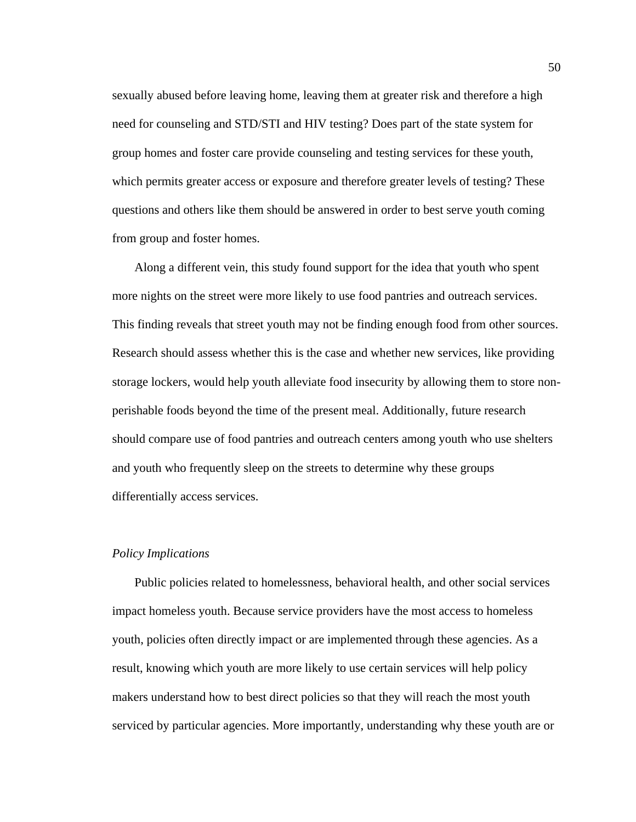sexually abused before leaving home, leaving them at greater risk and therefore a high need for counseling and STD/STI and HIV testing? Does part of the state system for group homes and foster care provide counseling and testing services for these youth, which permits greater access or exposure and therefore greater levels of testing? These questions and others like them should be answered in order to best serve youth coming from group and foster homes.

Along a different vein, this study found support for the idea that youth who spent more nights on the street were more likely to use food pantries and outreach services. This finding reveals that street youth may not be finding enough food from other sources. Research should assess whether this is the case and whether new services, like providing storage lockers, would help youth alleviate food insecurity by allowing them to store nonperishable foods beyond the time of the present meal. Additionally, future research should compare use of food pantries and outreach centers among youth who use shelters and youth who frequently sleep on the streets to determine why these groups differentially access services.

#### *Policy Implications*

Public policies related to homelessness, behavioral health, and other social services impact homeless youth. Because service providers have the most access to homeless youth, policies often directly impact or are implemented through these agencies. As a result, knowing which youth are more likely to use certain services will help policy makers understand how to best direct policies so that they will reach the most youth serviced by particular agencies. More importantly, understanding why these youth are or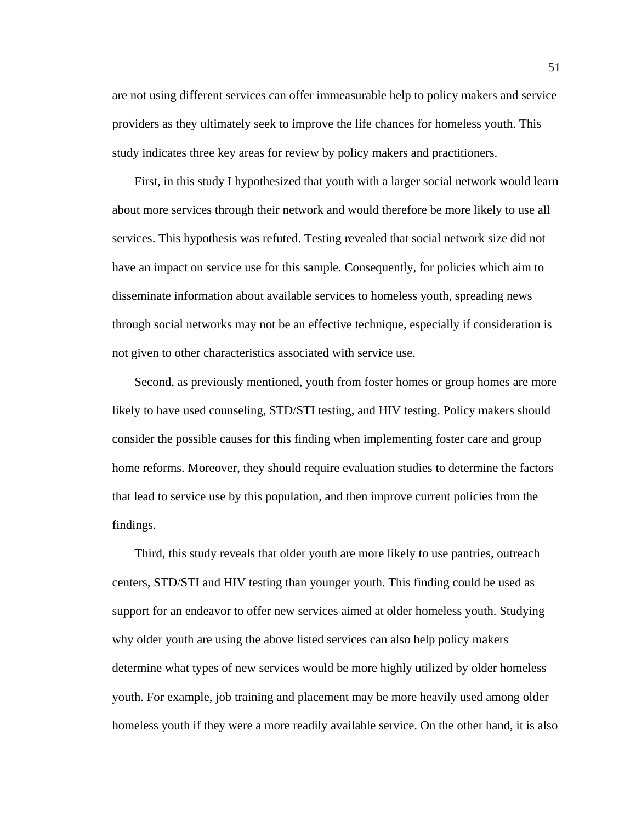are not using different services can offer immeasurable help to policy makers and service providers as they ultimately seek to improve the life chances for homeless youth. This study indicates three key areas for review by policy makers and practitioners.

First, in this study I hypothesized that youth with a larger social network would learn about more services through their network and would therefore be more likely to use all services. This hypothesis was refuted. Testing revealed that social network size did not have an impact on service use for this sample. Consequently, for policies which aim to disseminate information about available services to homeless youth, spreading news through social networks may not be an effective technique, especially if consideration is not given to other characteristics associated with service use.

Second, as previously mentioned, youth from foster homes or group homes are more likely to have used counseling, STD/STI testing, and HIV testing. Policy makers should consider the possible causes for this finding when implementing foster care and group home reforms. Moreover, they should require evaluation studies to determine the factors that lead to service use by this population, and then improve current policies from the findings.

Third, this study reveals that older youth are more likely to use pantries, outreach centers, STD/STI and HIV testing than younger youth. This finding could be used as support for an endeavor to offer new services aimed at older homeless youth. Studying why older youth are using the above listed services can also help policy makers determine what types of new services would be more highly utilized by older homeless youth. For example, job training and placement may be more heavily used among older homeless youth if they were a more readily available service. On the other hand, it is also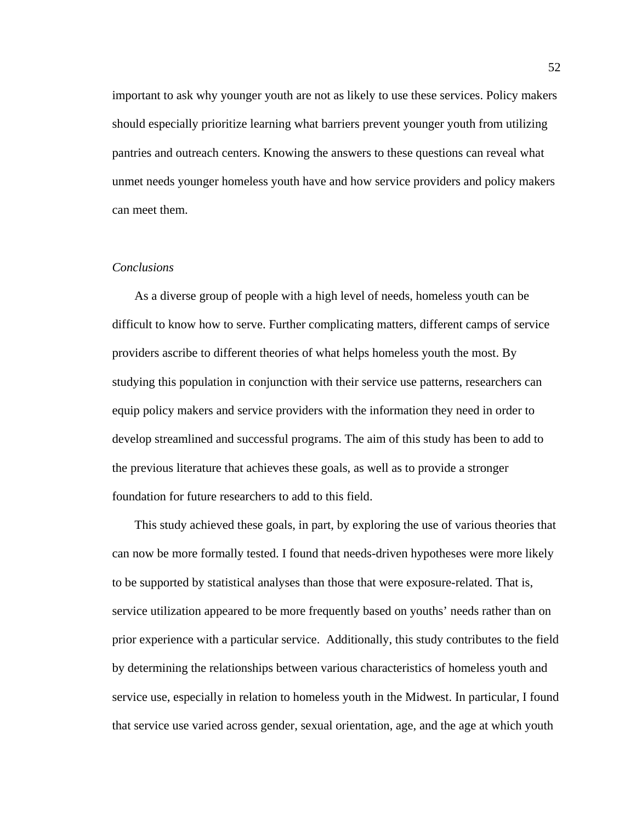important to ask why younger youth are not as likely to use these services. Policy makers should especially prioritize learning what barriers prevent younger youth from utilizing pantries and outreach centers. Knowing the answers to these questions can reveal what unmet needs younger homeless youth have and how service providers and policy makers can meet them.

#### *Conclusions*

As a diverse group of people with a high level of needs, homeless youth can be difficult to know how to serve. Further complicating matters, different camps of service providers ascribe to different theories of what helps homeless youth the most. By studying this population in conjunction with their service use patterns, researchers can equip policy makers and service providers with the information they need in order to develop streamlined and successful programs. The aim of this study has been to add to the previous literature that achieves these goals, as well as to provide a stronger foundation for future researchers to add to this field.

This study achieved these goals, in part, by exploring the use of various theories that can now be more formally tested. I found that needs-driven hypotheses were more likely to be supported by statistical analyses than those that were exposure-related. That is, service utilization appeared to be more frequently based on youths' needs rather than on prior experience with a particular service. Additionally, this study contributes to the field by determining the relationships between various characteristics of homeless youth and service use, especially in relation to homeless youth in the Midwest. In particular, I found that service use varied across gender, sexual orientation, age, and the age at which youth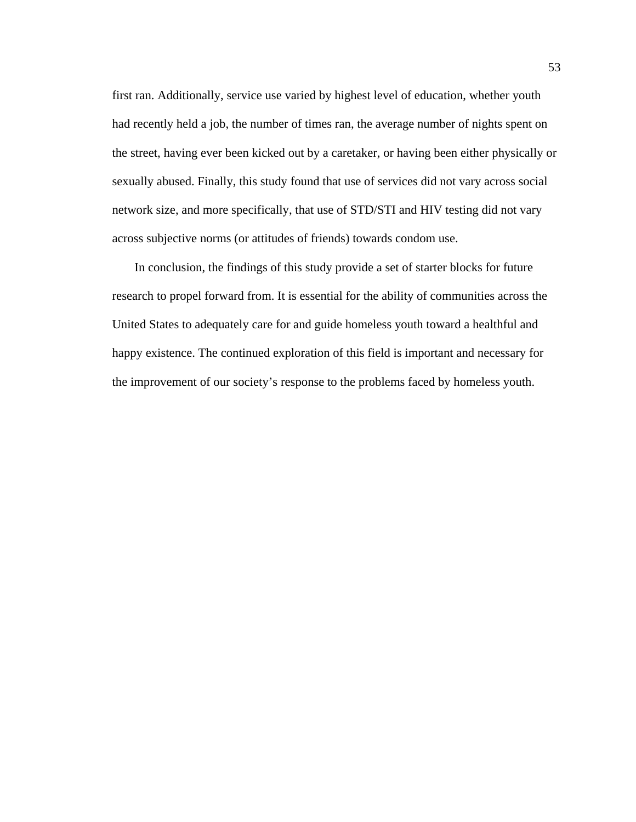first ran. Additionally, service use varied by highest level of education, whether youth had recently held a job, the number of times ran, the average number of nights spent on the street, having ever been kicked out by a caretaker, or having been either physically or sexually abused. Finally, this study found that use of services did not vary across social network size, and more specifically, that use of STD/STI and HIV testing did not vary across subjective norms (or attitudes of friends) towards condom use.

In conclusion, the findings of this study provide a set of starter blocks for future research to propel forward from. It is essential for the ability of communities across the United States to adequately care for and guide homeless youth toward a healthful and happy existence. The continued exploration of this field is important and necessary for the improvement of our society's response to the problems faced by homeless youth.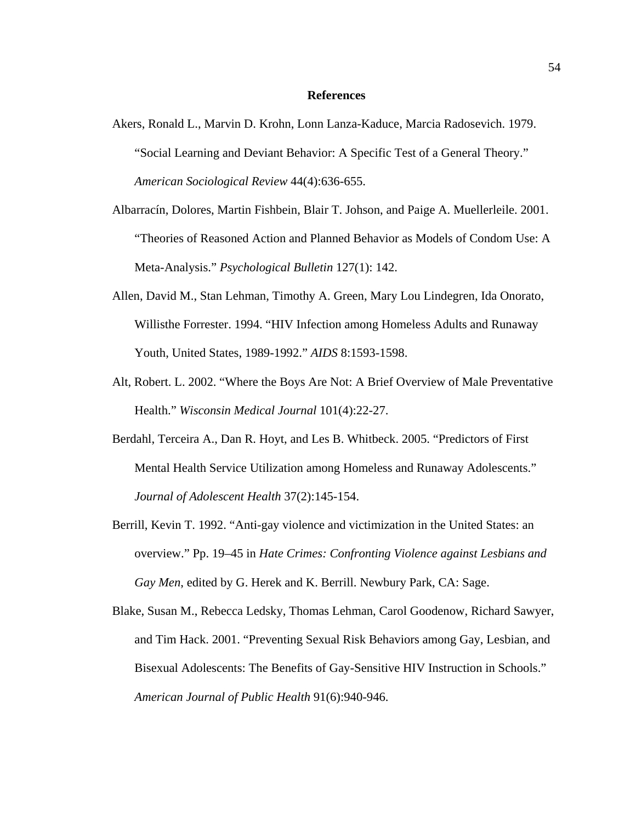#### **References**

- Akers, Ronald L., Marvin D. Krohn, Lonn Lanza-Kaduce, Marcia Radosevich. 1979. "Social Learning and Deviant Behavior: A Specific Test of a General Theory." *American Sociological Review* 44(4):636-655.
- Albarracín, Dolores, Martin Fishbein, Blair T. Johson, and Paige A. Muellerleile. 2001. "Theories of Reasoned Action and Planned Behavior as Models of Condom Use: A Meta-Analysis." *Psychological Bulletin* 127(1): 142.
- Allen, David M., Stan Lehman, Timothy A. Green, Mary Lou Lindegren, Ida Onorato, Willisthe Forrester. 1994. "HIV Infection among Homeless Adults and Runaway Youth, United States, 1989-1992." *AIDS* 8:1593-1598.
- Alt, Robert. L. 2002. "Where the Boys Are Not: A Brief Overview of Male Preventative Health." *Wisconsin Medical Journal* 101(4):22-27.
- Berdahl, Terceira A., Dan R. Hoyt, and Les B. Whitbeck. 2005. "Predictors of First Mental Health Service Utilization among Homeless and Runaway Adolescents." *Journal of Adolescent Health* 37(2):145-154.
- Berrill, Kevin T. 1992. "Anti-gay violence and victimization in the United States: an overview." Pp. 19–45 in *Hate Crimes: Confronting Violence against Lesbians and Gay Men*, edited by G. Herek and K. Berrill. Newbury Park, CA: Sage.
- Blake, Susan M., Rebecca Ledsky, Thomas Lehman, Carol Goodenow, Richard Sawyer, and Tim Hack. 2001. "Preventing Sexual Risk Behaviors among Gay, Lesbian, and Bisexual Adolescents: The Benefits of Gay-Sensitive HIV Instruction in Schools." *American Journal of Public Health* 91(6):940-946.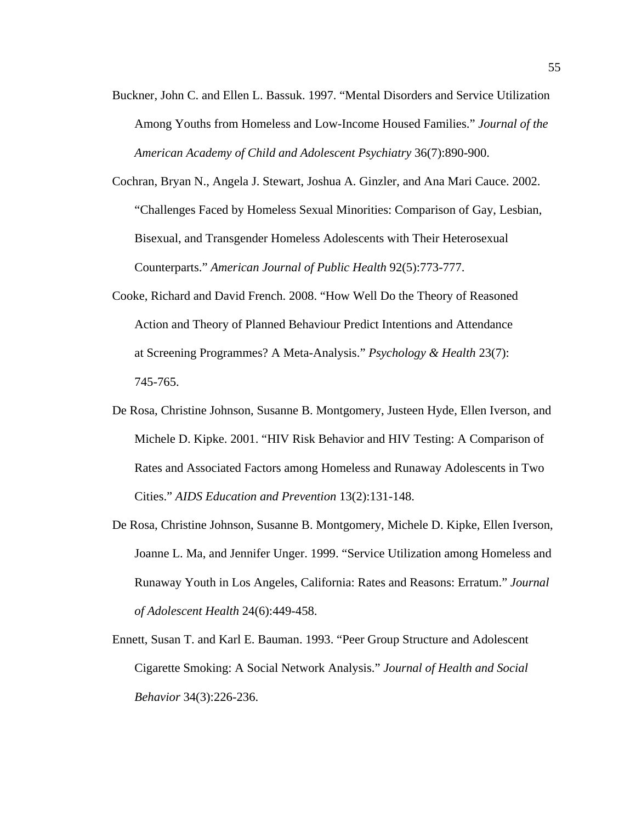- Buckner, John C. and Ellen L. Bassuk. 1997. "Mental Disorders and Service Utilization Among Youths from Homeless and Low-Income Housed Families." *Journal of the American Academy of Child and Adolescent Psychiatry* 36(7):890-900.
- Cochran, Bryan N., Angela J. Stewart, Joshua A. Ginzler, and Ana Mari Cauce. 2002. "Challenges Faced by Homeless Sexual Minorities: Comparison of Gay, Lesbian, Bisexual, and Transgender Homeless Adolescents with Their Heterosexual Counterparts." *American Journal of Public Health* 92(5):773-777.
- Cooke, Richard and David French. 2008. "How Well Do the Theory of Reasoned Action and Theory of Planned Behaviour Predict Intentions and Attendance at Screening Programmes? A Meta-Analysis." *Psychology & Health* 23(7): 745-765.
- De Rosa, Christine Johnson, Susanne B. Montgomery, Justeen Hyde, Ellen Iverson, and Michele D. Kipke. 2001. "HIV Risk Behavior and HIV Testing: A Comparison of Rates and Associated Factors among Homeless and Runaway Adolescents in Two Cities." *AIDS Education and Prevention* 13(2):131-148.
- De Rosa, Christine Johnson, Susanne B. Montgomery, Michele D. Kipke, Ellen Iverson, Joanne L. Ma, and Jennifer Unger. 1999. "Service Utilization among Homeless and Runaway Youth in Los Angeles, California: Rates and Reasons: Erratum." *Journal of Adolescent Health* 24(6):449-458.
- Ennett, Susan T. and Karl E. Bauman. 1993. "Peer Group Structure and Adolescent Cigarette Smoking: A Social Network Analysis." *Journal of Health and Social Behavior* 34(3):226-236.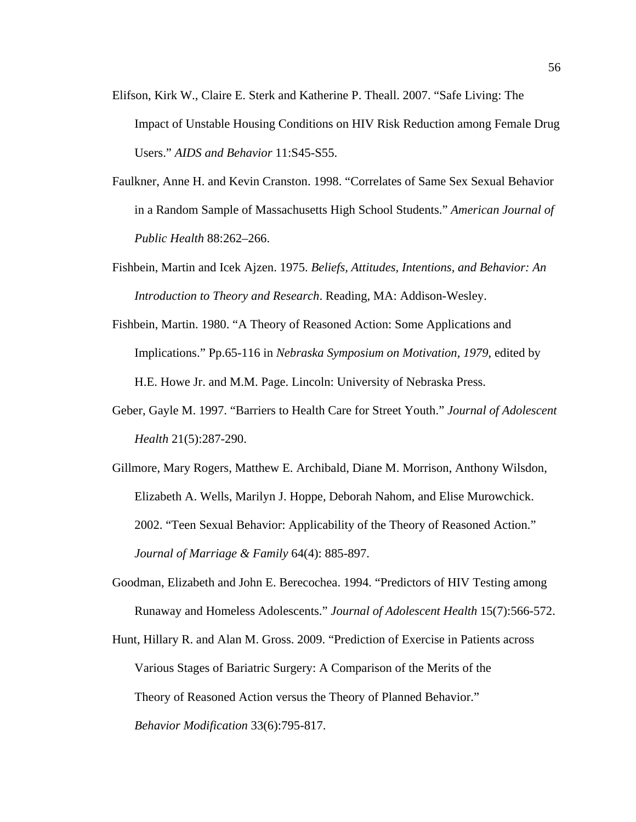- Elifson, Kirk W., Claire E. Sterk and Katherine P. Theall. 2007. "Safe Living: The Impact of Unstable Housing Conditions on HIV Risk Reduction among Female Drug Users." *AIDS and Behavior* 11:S45-S55.
- Faulkner, Anne H. and Kevin Cranston. 1998. "Correlates of Same Sex Sexual Behavior in a Random Sample of Massachusetts High School Students." *American Journal of Public Health* 88:262–266.
- Fishbein, Martin and Icek Ajzen. 1975. *Beliefs, Attitudes, Intentions, and Behavior: An Introduction to Theory and Research*. Reading, MA: Addison-Wesley.
- Fishbein, Martin. 1980. "A Theory of Reasoned Action: Some Applications and Implications." Pp.65-116 in *Nebraska Symposium on Motivation, 1979*, edited by H.E. Howe Jr. and M.M. Page. Lincoln: University of Nebraska Press.
- Geber, Gayle M. 1997. "Barriers to Health Care for Street Youth." *Journal of Adolescent Health* 21(5):287-290.
- Gillmore, Mary Rogers, Matthew E. Archibald, Diane M. Morrison, Anthony Wilsdon, Elizabeth A. Wells, Marilyn J. Hoppe, Deborah Nahom, and Elise Murowchick. 2002. "Teen Sexual Behavior: Applicability of the Theory of Reasoned Action." *Journal of Marriage & Family* 64(4): 885-897.
- Goodman, Elizabeth and John E. Berecochea. 1994. "Predictors of HIV Testing among Runaway and Homeless Adolescents." *Journal of Adolescent Health* 15(7):566-572.

Hunt, Hillary R. and Alan M. Gross. 2009. "Prediction of Exercise in Patients across Various Stages of Bariatric Surgery: A Comparison of the Merits of the Theory of Reasoned Action versus the Theory of Planned Behavior." *Behavior Modification* 33(6):795-817.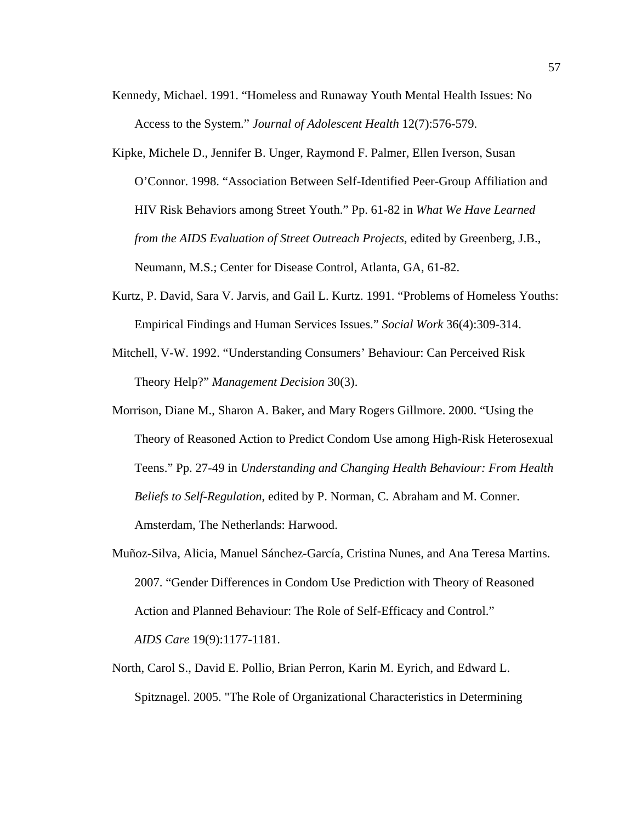- Kennedy, Michael. 1991. "Homeless and Runaway Youth Mental Health Issues: No Access to the System." *Journal of Adolescent Health* 12(7):576-579.
- Kipke, Michele D., Jennifer B. Unger, Raymond F. Palmer, Ellen Iverson, Susan O'Connor. 1998. "Association Between Self-Identified Peer-Group Affiliation and HIV Risk Behaviors among Street Youth." Pp. 61-82 in *What We Have Learned from the AIDS Evaluation of Street Outreach Projects*, edited by Greenberg, J.B., Neumann, M.S.; Center for Disease Control, Atlanta, GA, 61-82.
- Kurtz, P. David, Sara V. Jarvis, and Gail L. Kurtz. 1991. "Problems of Homeless Youths: Empirical Findings and Human Services Issues." *Social Work* 36(4):309-314.
- Mitchell, V-W. 1992. "Understanding Consumers' Behaviour: Can Perceived Risk Theory Help?" *Management Decision* 30(3).
- Morrison, Diane M., Sharon A. Baker, and Mary Rogers Gillmore. 2000. "Using the Theory of Reasoned Action to Predict Condom Use among High-Risk Heterosexual Teens." Pp. 27-49 in *Understanding and Changing Health Behaviour: From Health Beliefs to Self-Regulation*, edited by P. Norman, C. Abraham and M. Conner. Amsterdam, The Netherlands: Harwood.
- Muñoz-Silva, Alicia, Manuel Sánchez-García, Cristina Nunes, and Ana Teresa Martins. 2007. "Gender Differences in Condom Use Prediction with Theory of Reasoned Action and Planned Behaviour: The Role of Self-Efficacy and Control." *AIDS Care* 19(9):1177-1181.
- North, Carol S., David E. Pollio, Brian Perron, Karin M. Eyrich, and Edward L. Spitznagel. 2005. "The Role of Organizational Characteristics in Determining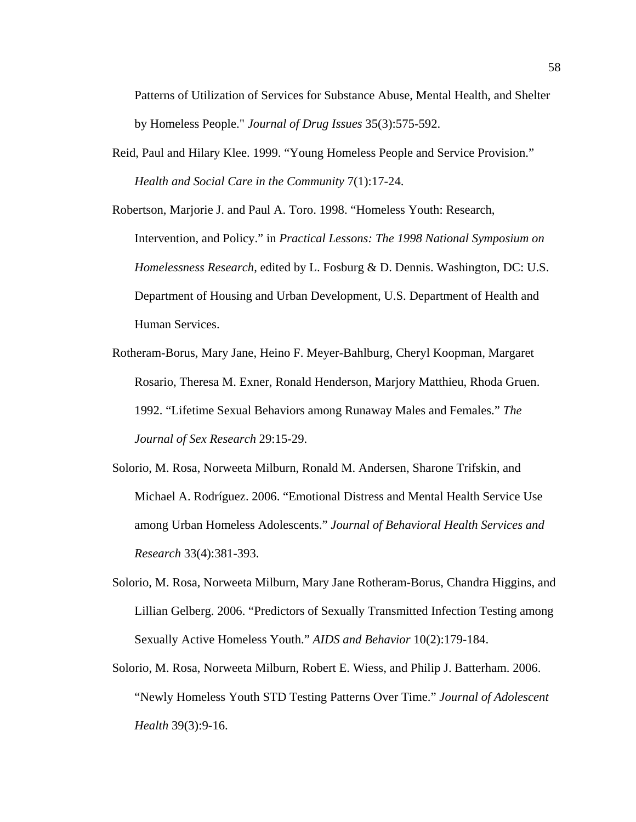Patterns of Utilization of Services for Substance Abuse, Mental Health, and Shelter by Homeless People." *Journal of Drug Issues* 35(3):575-592.

Reid, Paul and Hilary Klee. 1999. "Young Homeless People and Service Provision." *Health and Social Care in the Community* 7(1):17-24.

Robertson, Marjorie J. and Paul A. Toro. 1998. "Homeless Youth: Research, Intervention, and Policy." in *Practical Lessons: The 1998 National Symposium on Homelessness Research*, edited by L. Fosburg & D. Dennis. Washington, DC: U.S. Department of Housing and Urban Development, U.S. Department of Health and Human Services.

- Rotheram-Borus, Mary Jane, Heino F. Meyer-Bahlburg, Cheryl Koopman, Margaret Rosario, Theresa M. Exner, Ronald Henderson, Marjory Matthieu, Rhoda Gruen. 1992. "Lifetime Sexual Behaviors among Runaway Males and Females." *The Journal of Sex Research* 29:15-29.
- Solorio, M. Rosa, Norweeta Milburn, Ronald M. Andersen, Sharone Trifskin, and Michael A. Rodríguez. 2006. "Emotional Distress and Mental Health Service Use among Urban Homeless Adolescents." *Journal of Behavioral Health Services and Research* 33(4):381-393.
- Solorio, M. Rosa, Norweeta Milburn, Mary Jane Rotheram-Borus, Chandra Higgins, and Lillian Gelberg. 2006. "Predictors of Sexually Transmitted Infection Testing among Sexually Active Homeless Youth." *AIDS and Behavior* 10(2):179-184.
- Solorio, M. Rosa, Norweeta Milburn, Robert E. Wiess, and Philip J. Batterham. 2006. "Newly Homeless Youth STD Testing Patterns Over Time." *Journal of Adolescent Health* 39(3):9-16.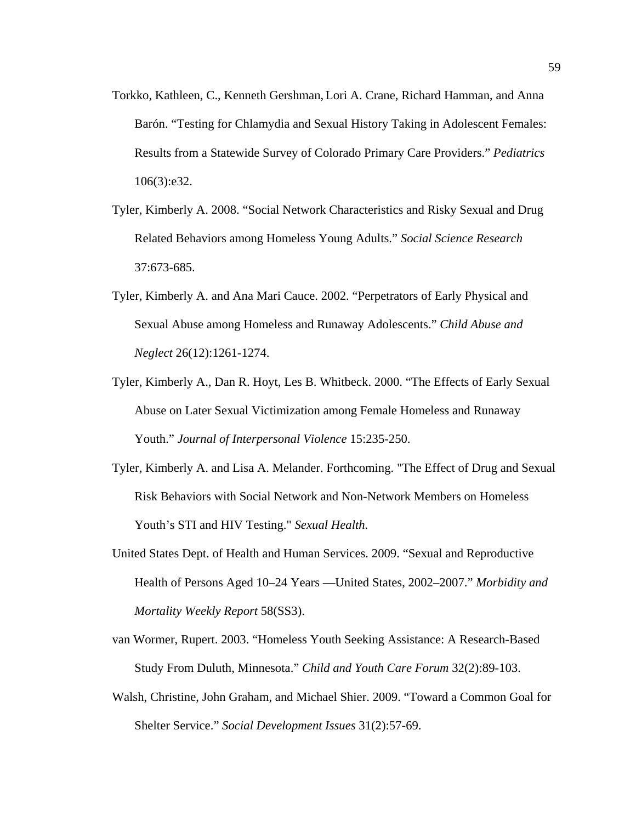- Torkko, Kathleen, C., Kenneth Gershman, Lori A. Crane, Richard Hamman, and Anna Barón. "Testing for Chlamydia and Sexual History Taking in Adolescent Females: Results from a Statewide Survey of Colorado Primary Care Providers." *Pediatrics* 106(3):e32.
- Tyler, Kimberly A. 2008. "Social Network Characteristics and Risky Sexual and Drug Related Behaviors among Homeless Young Adults." *Social Science Research* 37:673-685.
- Tyler, Kimberly A. and Ana Mari Cauce. 2002. "Perpetrators of Early Physical and Sexual Abuse among Homeless and Runaway Adolescents." *Child Abuse and Neglect* 26(12):1261-1274.
- Tyler, Kimberly A., Dan R. Hoyt, Les B. Whitbeck. 2000. "The Effects of Early Sexual Abuse on Later Sexual Victimization among Female Homeless and Runaway Youth." *Journal of Interpersonal Violence* 15:235-250.
- Tyler, Kimberly A. and Lisa A. Melander. Forthcoming. "The Effect of Drug and Sexual Risk Behaviors with Social Network and Non-Network Members on Homeless Youth's STI and HIV Testing." *Sexual Health*.
- United States Dept. of Health and Human Services. 2009. "Sexual and Reproductive Health of Persons Aged 10–24 Years —United States, 2002–2007." *Morbidity and Mortality Weekly Report* 58(SS3).
- van Wormer, Rupert. 2003. "Homeless Youth Seeking Assistance: A Research-Based Study From Duluth, Minnesota." *Child and Youth Care Forum* 32(2):89-103.
- Walsh, Christine, John Graham, and Michael Shier. 2009. "Toward a Common Goal for Shelter Service." *Social Development Issues* 31(2):57-69.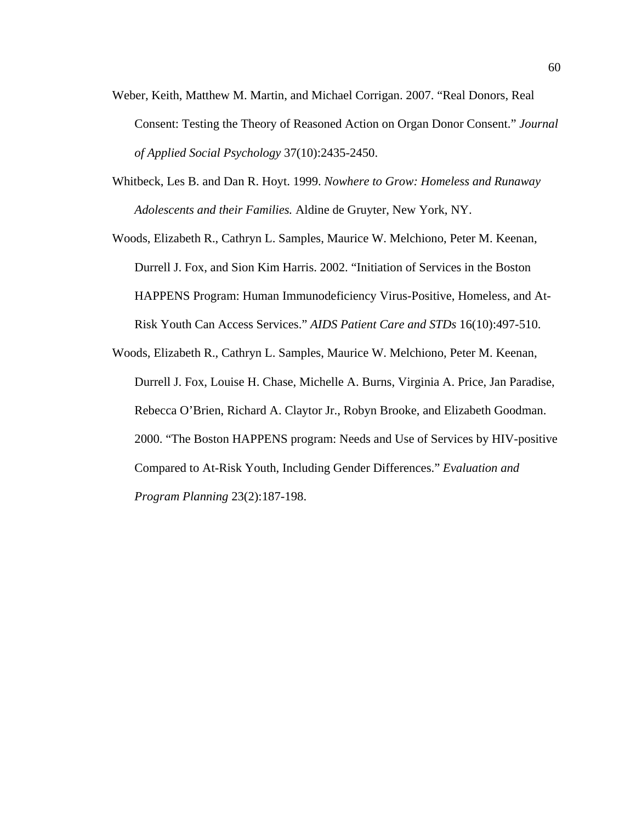- Weber, Keith, Matthew M. Martin, and Michael Corrigan. 2007. "Real Donors, Real Consent: Testing the Theory of Reasoned Action on Organ Donor Consent." *Journal of Applied Social Psychology* 37(10):2435-2450.
- Whitbeck, Les B. and Dan R. Hoyt. 1999. *Nowhere to Grow: Homeless and Runaway Adolescents and their Families.* Aldine de Gruyter, New York, NY.
- Woods, Elizabeth R., Cathryn L. Samples, Maurice W. Melchiono, Peter M. Keenan, Durrell J. Fox, and Sion Kim Harris. 2002. "Initiation of Services in the Boston HAPPENS Program: Human Immunodeficiency Virus-Positive, Homeless, and At-Risk Youth Can Access Services." *AIDS Patient Care and STDs* 16(10):497-510.
- Woods, Elizabeth R., Cathryn L. Samples, Maurice W. Melchiono, Peter M. Keenan, Durrell J. Fox, Louise H. Chase, Michelle A. Burns, Virginia A. Price, Jan Paradise, Rebecca O'Brien, Richard A. Claytor Jr., Robyn Brooke, and Elizabeth Goodman. 2000. "The Boston HAPPENS program: Needs and Use of Services by HIV-positive Compared to At-Risk Youth, Including Gender Differences." *Evaluation and Program Planning* 23(2):187-198.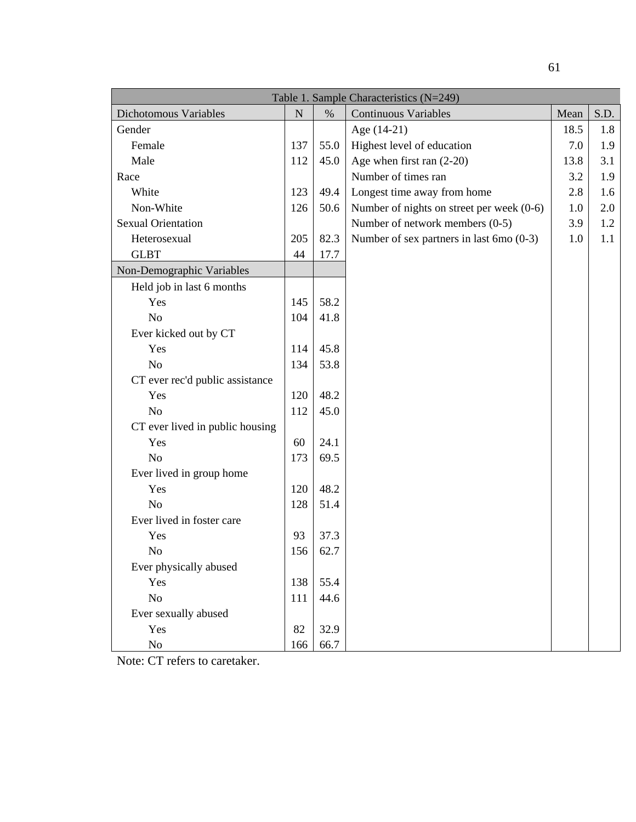| Table 1. Sample Characteristics (N=249) |           |      |                                             |      |      |  |  |  |  |  |  |
|-----------------------------------------|-----------|------|---------------------------------------------|------|------|--|--|--|--|--|--|
| Dichotomous Variables                   | ${\bf N}$ | $\%$ | <b>Continuous Variables</b>                 | Mean | S.D. |  |  |  |  |  |  |
| Gender                                  |           |      | Age (14-21)                                 | 18.5 | 1.8  |  |  |  |  |  |  |
| Female                                  | 137       | 55.0 | Highest level of education                  | 7.0  | 1.9  |  |  |  |  |  |  |
| Male                                    | 112       | 45.0 | Age when first ran (2-20)                   | 13.8 | 3.1  |  |  |  |  |  |  |
| Race                                    |           |      | Number of times ran                         | 3.2  | 1.9  |  |  |  |  |  |  |
| White                                   | 123       | 49.4 | Longest time away from home                 | 2.8  | 1.6  |  |  |  |  |  |  |
| Non-White                               | 126       | 50.6 | Number of nights on street per week $(0-6)$ | 1.0  | 2.0  |  |  |  |  |  |  |
| <b>Sexual Orientation</b>               |           |      | Number of network members (0-5)             | 3.9  | 1.2  |  |  |  |  |  |  |
| Heterosexual                            | 205       | 82.3 | Number of sex partners in last 6mo $(0-3)$  | 1.0  | 1.1  |  |  |  |  |  |  |
| <b>GLBT</b>                             | 44        | 17.7 |                                             |      |      |  |  |  |  |  |  |
| Non-Demographic Variables               |           |      |                                             |      |      |  |  |  |  |  |  |
| Held job in last 6 months               |           |      |                                             |      |      |  |  |  |  |  |  |
| Yes                                     | 145       | 58.2 |                                             |      |      |  |  |  |  |  |  |
| N <sub>o</sub>                          | 104       | 41.8 |                                             |      |      |  |  |  |  |  |  |
| Ever kicked out by CT                   |           |      |                                             |      |      |  |  |  |  |  |  |
| Yes                                     | 114       | 45.8 |                                             |      |      |  |  |  |  |  |  |
| N <sub>o</sub>                          | 134       | 53.8 |                                             |      |      |  |  |  |  |  |  |
| CT ever rec'd public assistance         |           |      |                                             |      |      |  |  |  |  |  |  |
| Yes                                     | 120       | 48.2 |                                             |      |      |  |  |  |  |  |  |
| N <sub>o</sub>                          | 112       | 45.0 |                                             |      |      |  |  |  |  |  |  |
| CT ever lived in public housing         |           |      |                                             |      |      |  |  |  |  |  |  |
| Yes                                     | 60        | 24.1 |                                             |      |      |  |  |  |  |  |  |
| No                                      | 173       | 69.5 |                                             |      |      |  |  |  |  |  |  |
| Ever lived in group home                |           |      |                                             |      |      |  |  |  |  |  |  |
| Yes                                     | 120       | 48.2 |                                             |      |      |  |  |  |  |  |  |
| N <sub>o</sub>                          | 128       | 51.4 |                                             |      |      |  |  |  |  |  |  |
| Ever lived in foster care               |           |      |                                             |      |      |  |  |  |  |  |  |
| Yes                                     | 93        | 37.3 |                                             |      |      |  |  |  |  |  |  |
| No.                                     | 156       | 62.7 |                                             |      |      |  |  |  |  |  |  |
| Ever physically abused                  |           |      |                                             |      |      |  |  |  |  |  |  |
| Yes                                     | 138       | 55.4 |                                             |      |      |  |  |  |  |  |  |
| N <sub>o</sub>                          | 111       | 44.6 |                                             |      |      |  |  |  |  |  |  |
| Ever sexually abused                    |           |      |                                             |      |      |  |  |  |  |  |  |
| Yes                                     | 82        | 32.9 |                                             |      |      |  |  |  |  |  |  |
| N <sub>o</sub>                          | 166       | 66.7 |                                             |      |      |  |  |  |  |  |  |

Note: CT refers to caretaker.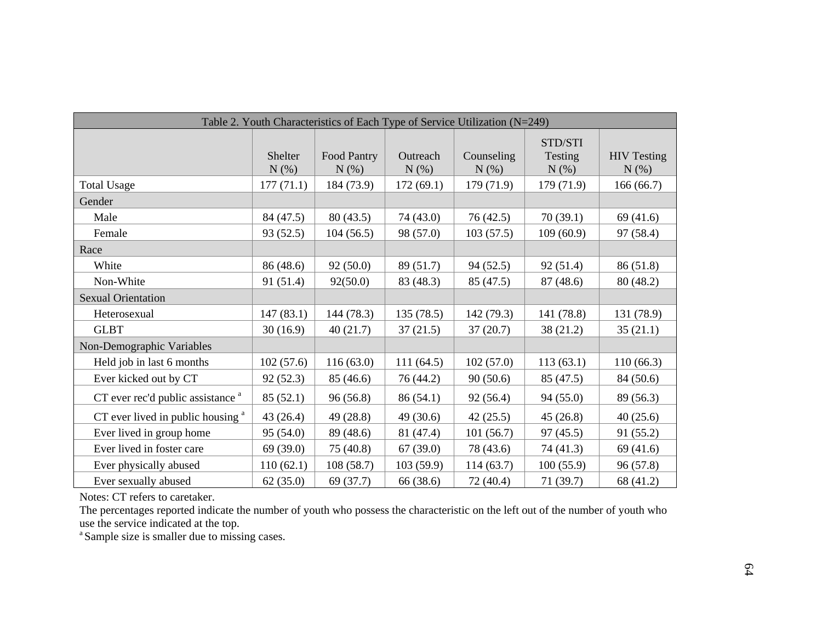| Table 2. Youth Characteristics of Each Type of Service Utilization (N=249) |                 |                     |                     |                    |                               |                            |  |  |  |  |
|----------------------------------------------------------------------------|-----------------|---------------------|---------------------|--------------------|-------------------------------|----------------------------|--|--|--|--|
|                                                                            | Shelter<br>N(%) | Food Pantry<br>N(%) | Outreach<br>$N(\%)$ | Counseling<br>N(%) | STD/STI<br>Testing<br>$N(\%)$ | <b>HIV</b> Testing<br>N(%) |  |  |  |  |
| <b>Total Usage</b>                                                         | 177(71.1)       | 184 (73.9)          | 172(69.1)           | 179 (71.9)         | 179(71.9)                     | 166(66.7)                  |  |  |  |  |
| Gender                                                                     |                 |                     |                     |                    |                               |                            |  |  |  |  |
| Male                                                                       | 84 (47.5)       | 80(43.5)            | 74 (43.0)           | 76(42.5)           | 70(39.1)                      | 69(41.6)                   |  |  |  |  |
| Female                                                                     | 93 (52.5)       | 104(56.5)           | 98 (57.0)           | 103(57.5)          | 109(60.9)                     | 97 (58.4)                  |  |  |  |  |
| Race                                                                       |                 |                     |                     |                    |                               |                            |  |  |  |  |
| White                                                                      | 86 (48.6)       | 92(50.0)            | 89 (51.7)           | 94(52.5)           | 92(51.4)                      | 86 (51.8)                  |  |  |  |  |
| Non-White                                                                  | 91 (51.4)       | 92(50.0)            | 83 (48.3)           | 85 (47.5)          | 87 (48.6)                     | 80 (48.2)                  |  |  |  |  |
| <b>Sexual Orientation</b>                                                  |                 |                     |                     |                    |                               |                            |  |  |  |  |
| Heterosexual                                                               | 147(83.1)       | 144 (78.3)          | 135(78.5)           | 142(79.3)          | 141 (78.8)                    | 131 (78.9)                 |  |  |  |  |
| <b>GLBT</b>                                                                | 30(16.9)        | 40(21.7)            | 37(21.5)            | 37(20.7)           | 38(21.2)                      | 35(21.1)                   |  |  |  |  |
| Non-Demographic Variables                                                  |                 |                     |                     |                    |                               |                            |  |  |  |  |
| Held job in last 6 months                                                  | 102(57.6)       | 116(63.0)           | 111(64.5)           | 102(57.0)          | 113(63.1)                     | 110(66.3)                  |  |  |  |  |
| Ever kicked out by CT                                                      | 92 (52.3)       | 85 (46.6)           | 76 (44.2)           | 90(50.6)           | 85 (47.5)                     | 84 (50.6)                  |  |  |  |  |
| CT ever rec'd public assistance <sup>a</sup>                               | 85(52.1)        | 96(56.8)            | 86(54.1)            | 92(56.4)           | 94(55.0)                      | 89 (56.3)                  |  |  |  |  |
| $CT$ ever lived in public housing $a$                                      | 43(26.4)        | 49 (28.8)           | 49(30.6)            | 42(25.5)           | 45(26.8)                      | 40(25.6)                   |  |  |  |  |
| Ever lived in group home                                                   | 95 (54.0)       | 89 (48.6)           | 81 (47.4)           | 101(56.7)          | 97(45.5)                      | 91(55.2)                   |  |  |  |  |
| Ever lived in foster care                                                  | 69 (39.0)       | 75 (40.8)           | 67(39.0)            | 78 (43.6)          | 74 (41.3)                     | 69 (41.6)                  |  |  |  |  |
| Ever physically abused                                                     | 110(62.1)       | 108(58.7)           | 103(59.9)           | 114(63.7)          | 100(55.9)                     | 96 (57.8)                  |  |  |  |  |
| Ever sexually abused                                                       | 62(35.0)        | 69 (37.7)           | 66 (38.6)           | 72(40.4)           | 71(39.7)                      | 68 (41.2)                  |  |  |  |  |

Notes: CT refers to caretaker.

 The percentages reported indicate the number of youth who possess the characteristic on the left out of the number of youth who use the service indicated at the top.

<sup>a</sup> Sample size is smaller due to missing cases.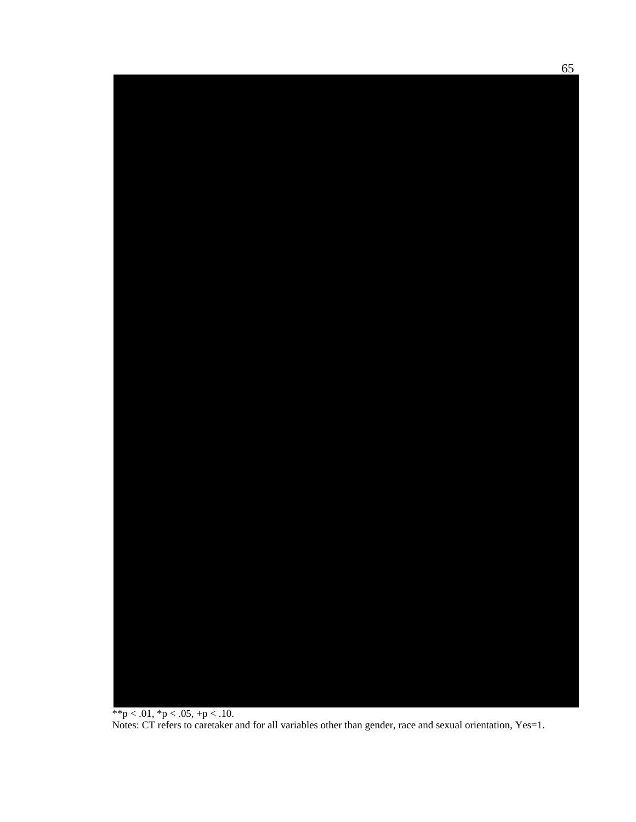

\*\*p < .01, \*p < .05, +p < .10. Notes: CT refers to caretaker and for all variables other than gender, race and sexual orientation, Yes=1.